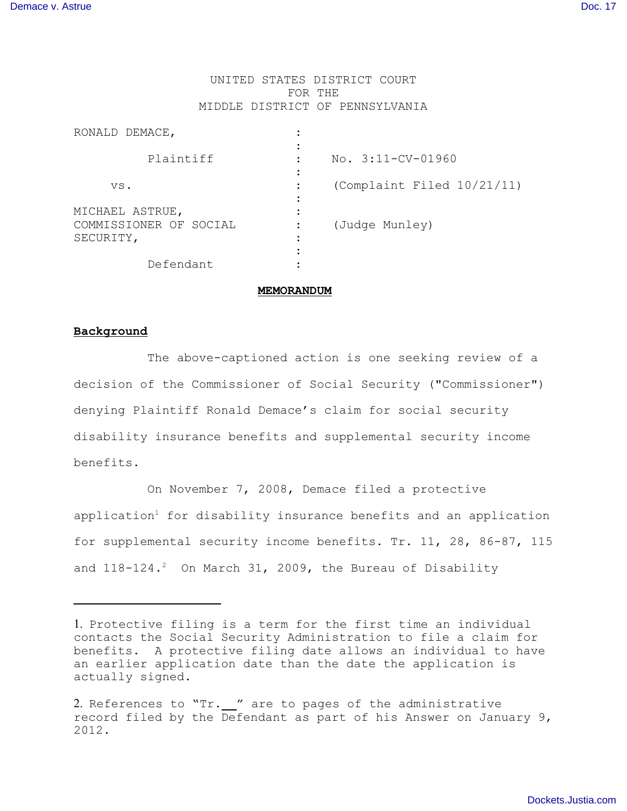## UNITED STATES DISTRICT COURT FOR THE MIDDLE DISTRICT OF PENNSYLVANIA

| RONALD DEMACE,                                         |                            |
|--------------------------------------------------------|----------------------------|
| Plaintiff                                              | $No. 3:11-CV-01960$        |
| VS.                                                    | (Complaint Filed 10/21/11) |
| MICHAEL ASTRUE,<br>COMMISSIONER OF SOCIAL<br>SECURITY, | (Judge Munley)             |
| Defendant                                              |                            |

### **MEMORANDUM**

# **Background**

 The above-captioned action is one seeking review of a decision of the Commissioner of Social Security ("Commissioner") denying Plaintiff Ronald Demace's claim for social security disability insurance benefits and supplemental security income benefits.

On November 7, 2008, Demace filed a protective application<sup>1</sup> for disability insurance benefits and an application for supplemental security income benefits. Tr. 11, 28, 86-87, 115 and  $118-124.2$  On March 31, 2009, the Bureau of Disability

<sup>1.</sup> Protective filing is a term for the first time an individual contacts the Social Security Administration to file a claim for benefits. A protective filing date allows an individual to have an earlier application date than the date the application is actually signed.

<sup>2.</sup> References to "Tr. " are to pages of the administrative record filed by the Defendant as part of his Answer on January 9, 2012.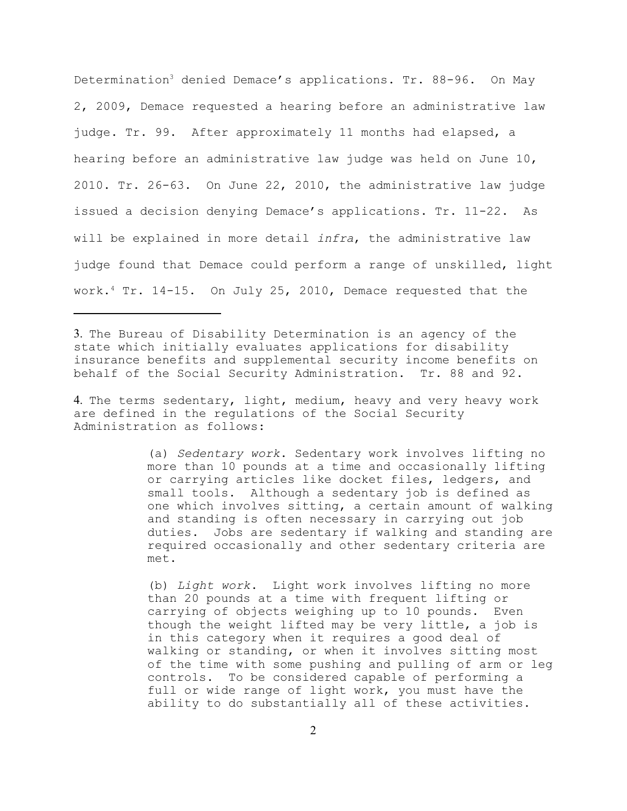Determination<sup>3</sup> denied Demace's applications. Tr. 88-96. On May 2, 2009, Demace requested a hearing before an administrative law judge. Tr. 99. After approximately 11 months had elapsed, a hearing before an administrative law judge was held on June 10, 2010. Tr. 26-63. On June 22, 2010, the administrative law judge issued a decision denying Demace's applications. Tr. 11-22. As will be explained in more detail *infra*, the administrative law judge found that Demace could perform a range of unskilled, light work.<sup>4</sup> Tr. 14-15. On July 25, 2010, Demace requested that the

3. The Bureau of Disability Determination is an agency of the state which initially evaluates applications for disability insurance benefits and supplemental security income benefits on behalf of the Social Security Administration. Tr. 88 and 92.

4. The terms sedentary, light, medium, heavy and very heavy work are defined in the regulations of the Social Security Administration as follows:

> (a) *Sedentary work*. Sedentary work involves lifting no more than 10 pounds at a time and occasionally lifting or carrying articles like docket files, ledgers, and small tools. Although a sedentary job is defined as one which involves sitting, a certain amount of walking and standing is often necessary in carrying out job duties. Jobs are sedentary if walking and standing are required occasionally and other sedentary criteria are met.

> (b) *Light work*. Light work involves lifting no more than 20 pounds at a time with frequent lifting or carrying of objects weighing up to 10 pounds. Even though the weight lifted may be very little, a job is in this category when it requires a good deal of walking or standing, or when it involves sitting most of the time with some pushing and pulling of arm or leg controls. To be considered capable of performing a full or wide range of light work, you must have the ability to do substantially all of these activities.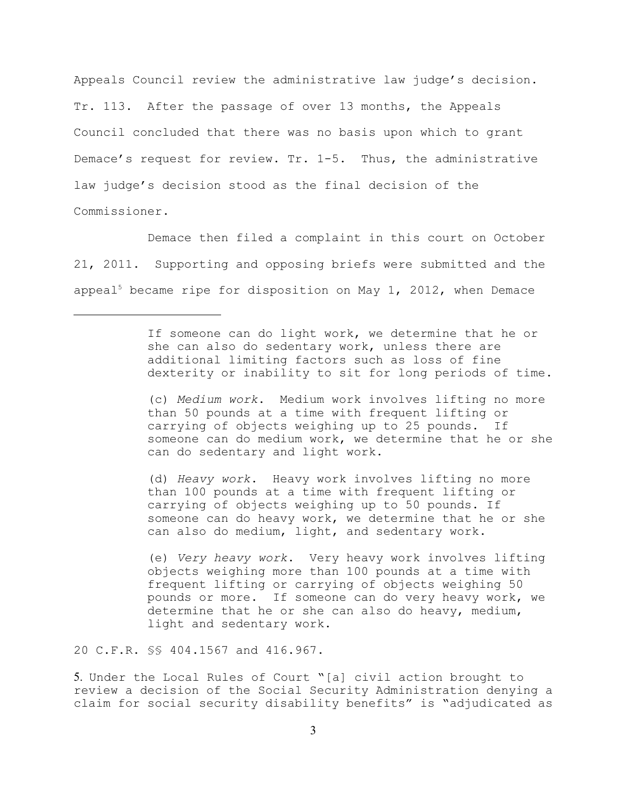Appeals Council review the administrative law judge's decision. Tr. 113. After the passage of over 13 months, the Appeals Council concluded that there was no basis upon which to grant Demace's request for review. Tr. 1-5. Thus, the administrative law judge's decision stood as the final decision of the Commissioner.

Demace then filed a complaint in this court on October 21, 2011. Supporting and opposing briefs were submitted and the appeal<sup>5</sup> became ripe for disposition on May 1, 2012, when Demace

> If someone can do light work, we determine that he or she can also do sedentary work, unless there are additional limiting factors such as loss of fine dexterity or inability to sit for long periods of time.

> (c) *Medium work*. Medium work involves lifting no more than 50 pounds at a time with frequent lifting or carrying of objects weighing up to 25 pounds. If someone can do medium work, we determine that he or she can do sedentary and light work.

(d) *Heavy work*. Heavy work involves lifting no more than 100 pounds at a time with frequent lifting or carrying of objects weighing up to 50 pounds. If someone can do heavy work, we determine that he or she can also do medium, light, and sedentary work.

(e) *Very heavy work*. Very heavy work involves lifting objects weighing more than 100 pounds at a time with frequent lifting or carrying of objects weighing 50 pounds or more. If someone can do very heavy work, we determine that he or she can also do heavy, medium, light and sedentary work.

20 C.F.R. §§ 404.1567 and 416.967.

5. Under the Local Rules of Court "[a] civil action brought to review a decision of the Social Security Administration denying a claim for social security disability benefits" is "adjudicated as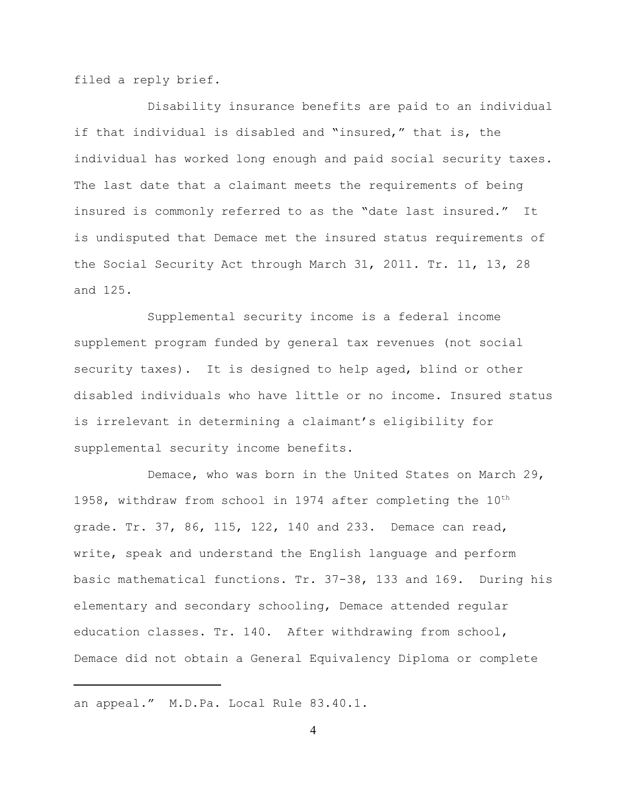filed a reply brief.

Disability insurance benefits are paid to an individual if that individual is disabled and "insured," that is, the individual has worked long enough and paid social security taxes. The last date that a claimant meets the requirements of being insured is commonly referred to as the "date last insured." It is undisputed that Demace met the insured status requirements of the Social Security Act through March 31, 2011. Tr. 11, 13, 28 and 125.

Supplemental security income is a federal income supplement program funded by general tax revenues (not social security taxes). It is designed to help aged, blind or other disabled individuals who have little or no income. Insured status is irrelevant in determining a claimant's eligibility for supplemental security income benefits.

Demace, who was born in the United States on March 29, 1958, withdraw from school in 1974 after completing the 10<sup>th</sup> grade. Tr. 37, 86, 115, 122, 140 and 233. Demace can read, write, speak and understand the English language and perform basic mathematical functions. Tr. 37-38, 133 and 169. During his elementary and secondary schooling, Demace attended regular education classes. Tr. 140. After withdrawing from school, Demace did not obtain a General Equivalency Diploma or complete

an appeal." M.D.Pa. Local Rule 83.40.1.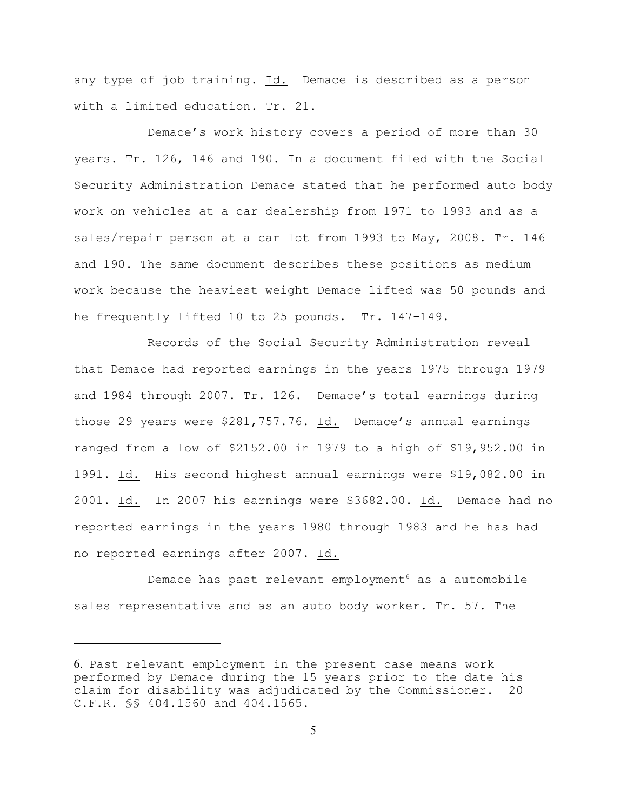any type of job training. Id. Demace is described as a person with a limited education. Tr. 21.

Demace's work history covers a period of more than 30 years. Tr. 126, 146 and 190. In a document filed with the Social Security Administration Demace stated that he performed auto body work on vehicles at a car dealership from 1971 to 1993 and as a sales/repair person at a car lot from 1993 to May, 2008. Tr. 146 and 190. The same document describes these positions as medium work because the heaviest weight Demace lifted was 50 pounds and he frequently lifted 10 to 25 pounds. Tr. 147-149.

Records of the Social Security Administration reveal that Demace had reported earnings in the years 1975 through 1979 and 1984 through 2007. Tr. 126. Demace's total earnings during those 29 years were \$281,757.76. Id. Demace's annual earnings ranged from a low of \$2152.00 in 1979 to a high of \$19,952.00 in 1991. Id. His second highest annual earnings were \$19,082.00 in 2001. Id. In 2007 his earnings were S3682.00. Id. Demace had no reported earnings in the years 1980 through 1983 and he has had no reported earnings after 2007. Id.

Demace has past relevant employment<sup>6</sup> as a automobile sales representative and as an auto body worker. Tr. 57. The

<sup>6.</sup> Past relevant employment in the present case means work performed by Demace during the 15 years prior to the date his claim for disability was adjudicated by the Commissioner. 20 C.F.R. §§ 404.1560 and 404.1565.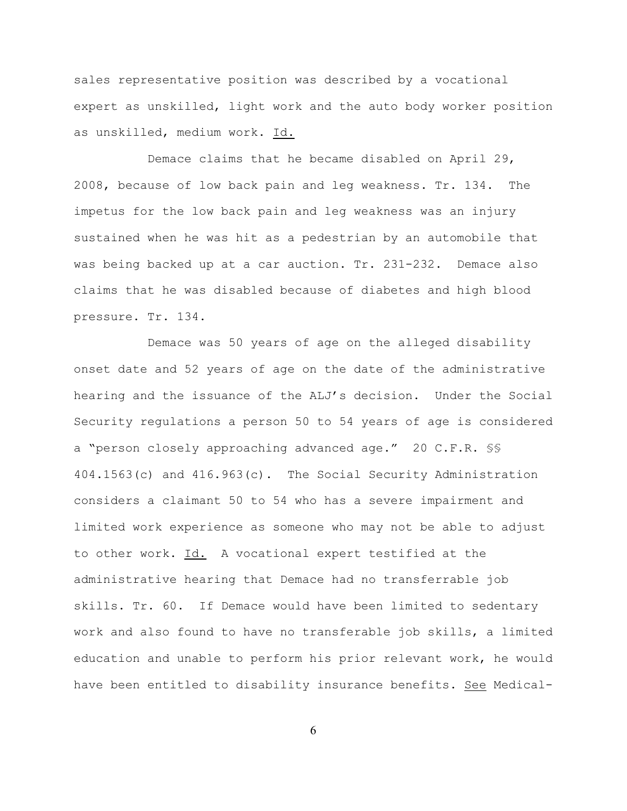sales representative position was described by a vocational expert as unskilled, light work and the auto body worker position as unskilled, medium work. Id.

Demace claims that he became disabled on April 29, 2008, because of low back pain and leg weakness. Tr. 134. The impetus for the low back pain and leg weakness was an injury sustained when he was hit as a pedestrian by an automobile that was being backed up at a car auction. Tr. 231-232. Demace also claims that he was disabled because of diabetes and high blood pressure. Tr. 134.

Demace was 50 years of age on the alleged disability onset date and 52 years of age on the date of the administrative hearing and the issuance of the ALJ's decision. Under the Social Security regulations a person 50 to 54 years of age is considered a "person closely approaching advanced age." 20 C.F.R. §§ 404.1563(c) and 416.963(c). The Social Security Administration considers a claimant 50 to 54 who has a severe impairment and limited work experience as someone who may not be able to adjust to other work. Id. A vocational expert testified at the administrative hearing that Demace had no transferrable job skills. Tr. 60. If Demace would have been limited to sedentary work and also found to have no transferable job skills, a limited education and unable to perform his prior relevant work, he would have been entitled to disability insurance benefits. See Medical-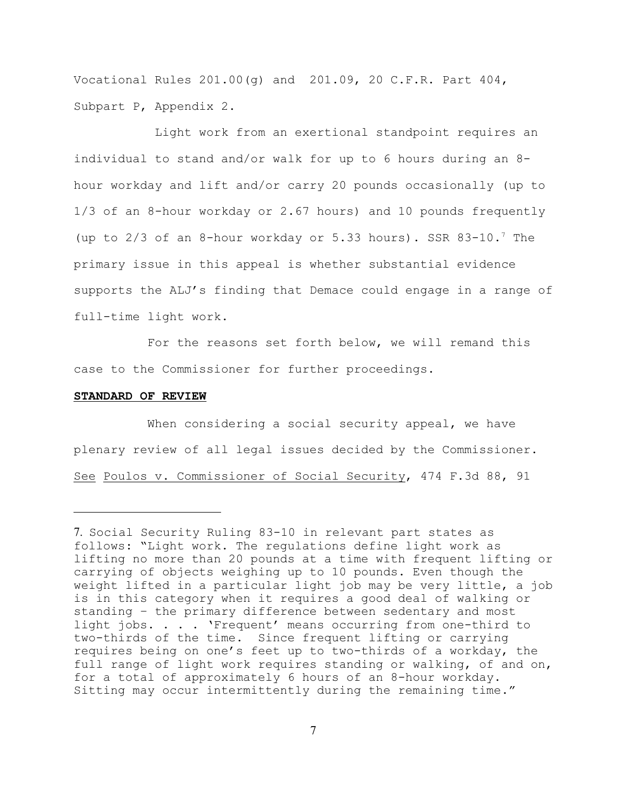Vocational Rules 201.00(g) and 201.09, 20 C.F.R. Part 404, Subpart P, Appendix 2.

 Light work from an exertional standpoint requires an individual to stand and/or walk for up to 6 hours during an 8 hour workday and lift and/or carry 20 pounds occasionally (up to 1/3 of an 8-hour workday or 2.67 hours) and 10 pounds frequently (up to  $2/3$  of an 8-hour workday or 5.33 hours). SSR 83-10.<sup>7</sup> The primary issue in this appeal is whether substantial evidence supports the ALJ's finding that Demace could engage in a range of full-time light work.

For the reasons set forth below, we will remand this case to the Commissioner for further proceedings.

### **STANDARD OF REVIEW**

When considering a social security appeal, we have plenary review of all legal issues decided by the Commissioner. See Poulos v. Commissioner of Social Security, 474 F.3d 88, 91

<sup>7.</sup> Social Security Ruling 83-10 in relevant part states as follows: "Light work. The regulations define light work as lifting no more than 20 pounds at a time with frequent lifting or carrying of objects weighing up to 10 pounds. Even though the weight lifted in a particular light job may be very little, a job is in this category when it requires a good deal of walking or standing – the primary difference between sedentary and most light jobs. . . . 'Frequent' means occurring from one-third to two-thirds of the time. Since frequent lifting or carrying requires being on one's feet up to two-thirds of a workday, the full range of light work requires standing or walking, of and on, for a total of approximately 6 hours of an 8-hour workday. Sitting may occur intermittently during the remaining time."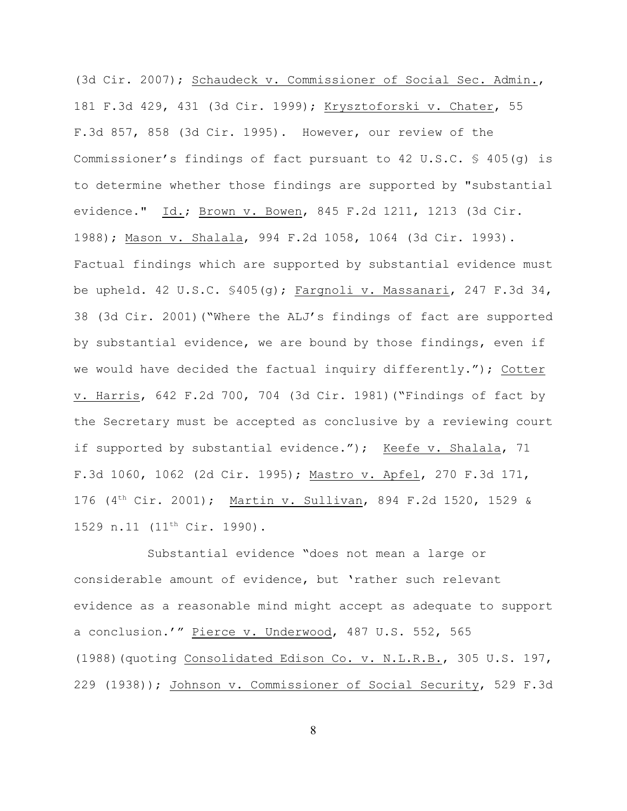(3d Cir. 2007); Schaudeck v. Commissioner of Social Sec. Admin., 181 F.3d 429, 431 (3d Cir. 1999); Krysztoforski v. Chater, 55 F.3d 857, 858 (3d Cir. 1995). However, our review of the Commissioner's findings of fact pursuant to 42 U.S.C.  $\frac{6}{5}$  405(q) is to determine whether those findings are supported by "substantial evidence." Id.; Brown v. Bowen, 845 F.2d 1211, 1213 (3d Cir. 1988); Mason v. Shalala, 994 F.2d 1058, 1064 (3d Cir. 1993). Factual findings which are supported by substantial evidence must be upheld. 42 U.S.C. §405(g); Fargnoli v. Massanari, 247 F.3d 34, 38 (3d Cir. 2001)("Where the ALJ's findings of fact are supported by substantial evidence, we are bound by those findings, even if we would have decided the factual inquiry differently."); Cotter v. Harris, 642 F.2d 700, 704 (3d Cir. 1981)("Findings of fact by the Secretary must be accepted as conclusive by a reviewing court if supported by substantial evidence."); Keefe v. Shalala, 71 F.3d 1060, 1062 (2d Cir. 1995); Mastro v. Apfel, 270 F.3d 171, 176 (4<sup>th</sup> Cir. 2001); Martin v. Sullivan, 894 F.2d 1520, 1529 & 1529 n.11 (11<sup>th</sup> Cir. 1990).

Substantial evidence "does not mean a large or considerable amount of evidence, but 'rather such relevant evidence as a reasonable mind might accept as adequate to support a conclusion.'" Pierce v. Underwood, 487 U.S. 552, 565 (1988)(quoting Consolidated Edison Co. v. N.L.R.B., 305 U.S. 197, 229 (1938)); Johnson v. Commissioner of Social Security, 529 F.3d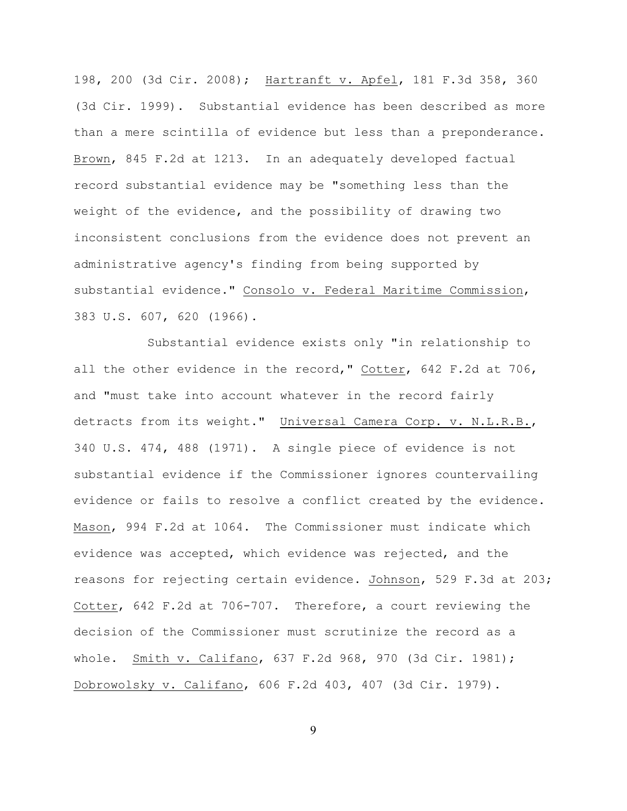198, 200 (3d Cir. 2008); Hartranft v. Apfel, 181 F.3d 358, 360 (3d Cir. 1999). Substantial evidence has been described as more than a mere scintilla of evidence but less than a preponderance. Brown, 845 F.2d at 1213. In an adequately developed factual record substantial evidence may be "something less than the weight of the evidence, and the possibility of drawing two inconsistent conclusions from the evidence does not prevent an administrative agency's finding from being supported by substantial evidence." Consolo v. Federal Maritime Commission, 383 U.S. 607, 620 (1966).

Substantial evidence exists only "in relationship to all the other evidence in the record," Cotter, 642 F.2d at 706, and "must take into account whatever in the record fairly detracts from its weight." Universal Camera Corp. v. N.L.R.B., 340 U.S. 474, 488 (1971). A single piece of evidence is not substantial evidence if the Commissioner ignores countervailing evidence or fails to resolve a conflict created by the evidence. Mason, 994 F.2d at 1064. The Commissioner must indicate which evidence was accepted, which evidence was rejected, and the reasons for rejecting certain evidence. Johnson, 529 F.3d at 203; Cotter, 642 F.2d at 706-707. Therefore, a court reviewing the decision of the Commissioner must scrutinize the record as a whole. Smith v. Califano, 637 F.2d 968, 970 (3d Cir. 1981); Dobrowolsky v. Califano, 606 F.2d 403, 407 (3d Cir. 1979).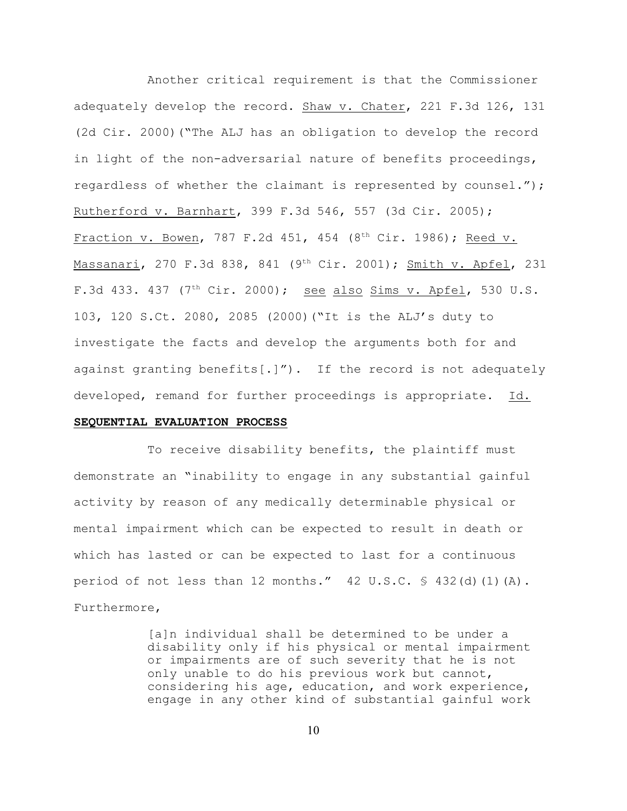Another critical requirement is that the Commissioner adequately develop the record. Shaw v. Chater, 221 F.3d 126, 131 (2d Cir. 2000)("The ALJ has an obligation to develop the record in light of the non-adversarial nature of benefits proceedings, regardless of whether the claimant is represented by counsel."); Rutherford v. Barnhart, 399 F.3d 546, 557 (3d Cir. 2005); Fraction v. Bowen, 787 F.2d 451, 454 (8<sup>th</sup> Cir. 1986); Reed v. Massanari, 270 F.3d 838, 841 (9<sup>th</sup> Cir. 2001); Smith v. Apfel, 231 F.3d 433. 437 (7<sup>th</sup> Cir. 2000); see also Sims v. Apfel, 530 U.S. 103, 120 S.Ct. 2080, 2085 (2000)("It is the ALJ's duty to investigate the facts and develop the arguments both for and against granting benefits[.]"). If the record is not adequately developed, remand for further proceedings is appropriate. Id.

## **SEQUENTIAL EVALUATION PROCESS**

To receive disability benefits, the plaintiff must demonstrate an "inability to engage in any substantial gainful activity by reason of any medically determinable physical or mental impairment which can be expected to result in death or which has lasted or can be expected to last for a continuous period of not less than 12 months."  $42 \text{ U.S.C. }$   $\frac{6}{5}$  432(d)(1)(A). Furthermore,

> [a]n individual shall be determined to be under a disability only if his physical or mental impairment or impairments are of such severity that he is not only unable to do his previous work but cannot, considering his age, education, and work experience, engage in any other kind of substantial gainful work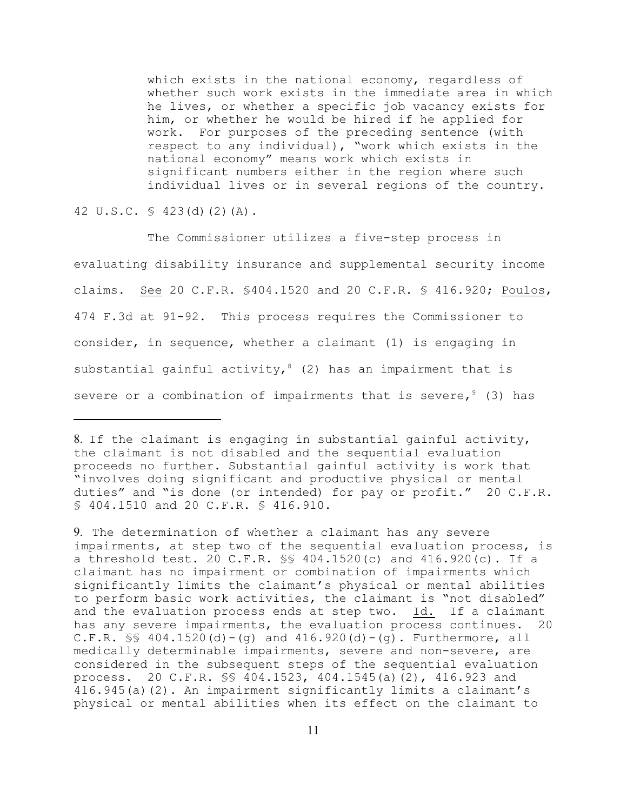which exists in the national economy, regardless of whether such work exists in the immediate area in which he lives, or whether a specific job vacancy exists for him, or whether he would be hired if he applied for work. For purposes of the preceding sentence (with respect to any individual), "work which exists in the national economy" means work which exists in significant numbers either in the region where such individual lives or in several regions of the country.

42 U.S.C. § 423(d)(2)(A).

The Commissioner utilizes a five-step process in evaluating disability insurance and supplemental security income claims. See 20 C.F.R. §404.1520 and 20 C.F.R. § 416.920; Poulos, 474 F.3d at 91-92. This process requires the Commissioner to consider, in sequence, whether a claimant (1) is engaging in substantial gainful activity,  $(2)$  has an impairment that is severe or a combination of impairments that is severe,  $9(3)$  has

9. The determination of whether a claimant has any severe impairments, at step two of the sequential evaluation process, is a threshold test. 20 C.F.R. §§ 404.1520(c) and 416.920(c). If a claimant has no impairment or combination of impairments which significantly limits the claimant's physical or mental abilities to perform basic work activities, the claimant is "not disabled" and the evaluation process ends at step two. Id. If a claimant has any severe impairments, the evaluation process continues. 20 C.F.R.  $\frac{1}{5}$  404.1520(d) - (g) and 416.920(d) - (g). Furthermore, all medically determinable impairments, severe and non-severe, are considered in the subsequent steps of the sequential evaluation process. 20 C.F.R. §§ 404.1523, 404.1545(a)(2), 416.923 and 416.945(a)(2). An impairment significantly limits a claimant's physical or mental abilities when its effect on the claimant to

<sup>8.</sup> If the claimant is engaging in substantial gainful activity, the claimant is not disabled and the sequential evaluation proceeds no further. Substantial gainful activity is work that "involves doing significant and productive physical or mental duties" and "is done (or intended) for pay or profit." 20 C.F.R. § 404.1510 and 20 C.F.R. § 416.910.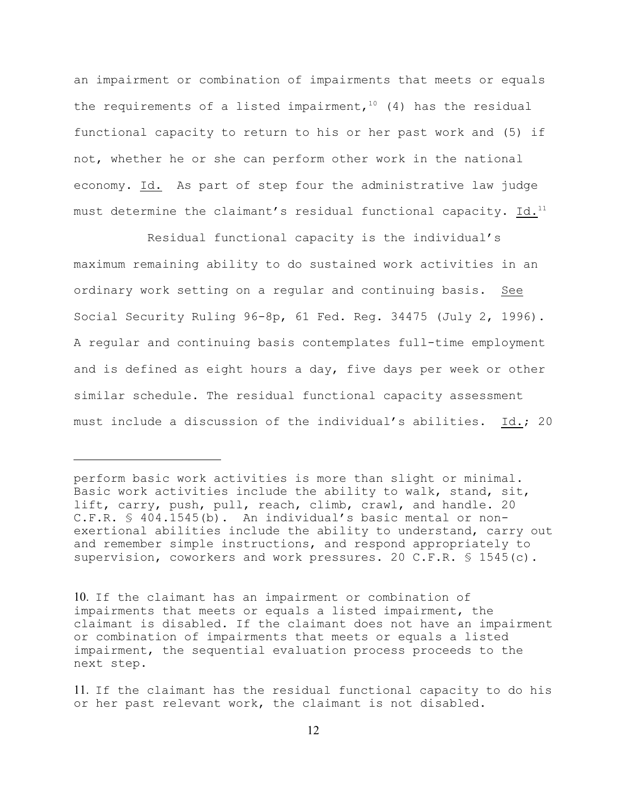an impairment or combination of impairments that meets or equals the requirements of a listed impairment,  $10(4)$  has the residual functional capacity to return to his or her past work and (5) if not, whether he or she can perform other work in the national economy. Id. As part of step four the administrative law judge must determine the claimant's residual functional capacity. Id.<sup>11</sup>

Residual functional capacity is the individual's maximum remaining ability to do sustained work activities in an ordinary work setting on a regular and continuing basis. See Social Security Ruling 96-8p, 61 Fed. Reg. 34475 (July 2, 1996). A regular and continuing basis contemplates full-time employment and is defined as eight hours a day, five days per week or other similar schedule. The residual functional capacity assessment must include a discussion of the individual's abilities. Id.; 20

perform basic work activities is more than slight or minimal. Basic work activities include the ability to walk, stand, sit, lift, carry, push, pull, reach, climb, crawl, and handle. 20 C.F.R. § 404.1545(b). An individual's basic mental or nonexertional abilities include the ability to understand, carry out and remember simple instructions, and respond appropriately to supervision, coworkers and work pressures. 20 C.F.R. § 1545(c).

<sup>10.</sup> If the claimant has an impairment or combination of impairments that meets or equals a listed impairment, the claimant is disabled. If the claimant does not have an impairment or combination of impairments that meets or equals a listed impairment, the sequential evaluation process proceeds to the next step.

<sup>11.</sup> If the claimant has the residual functional capacity to do his or her past relevant work, the claimant is not disabled.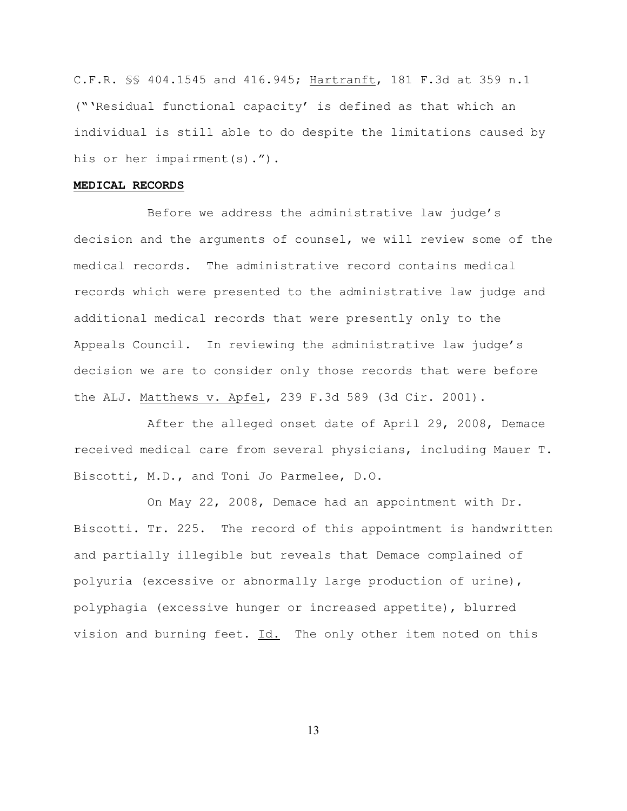C.F.R. §§ 404.1545 and 416.945; Hartranft, 181 F.3d at 359 n.1 ("'Residual functional capacity' is defined as that which an individual is still able to do despite the limitations caused by his or her impairment(s).").

### **MEDICAL RECORDS**

Before we address the administrative law judge's decision and the arguments of counsel, we will review some of the medical records. The administrative record contains medical records which were presented to the administrative law judge and additional medical records that were presently only to the Appeals Council. In reviewing the administrative law judge's decision we are to consider only those records that were before the ALJ. Matthews v. Apfel, 239 F.3d 589 (3d Cir. 2001).

After the alleged onset date of April 29, 2008, Demace received medical care from several physicians, including Mauer T. Biscotti, M.D., and Toni Jo Parmelee, D.O.

On May 22, 2008, Demace had an appointment with Dr. Biscotti. Tr. 225. The record of this appointment is handwritten and partially illegible but reveals that Demace complained of polyuria (excessive or abnormally large production of urine), polyphagia (excessive hunger or increased appetite), blurred vision and burning feet. Id. The only other item noted on this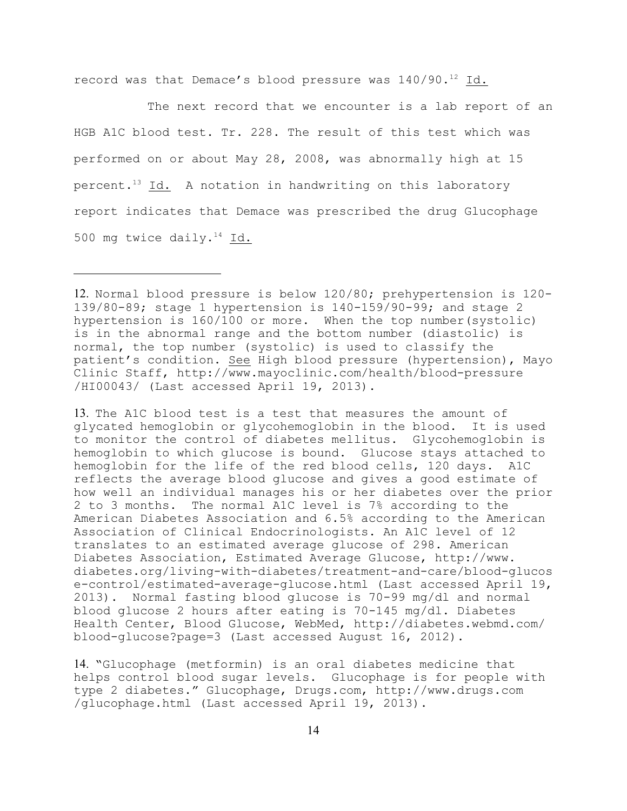record was that Demace's blood pressure was  $140/90$ .<sup>12</sup> Id.

The next record that we encounter is a lab report of an HGB A1C blood test. Tr. 228. The result of this test which was performed on or about May 28, 2008, was abnormally high at 15 percent.<sup>13</sup> Id. A notation in handwriting on this laboratory report indicates that Demace was prescribed the drug Glucophage 500 mg twice daily. $^{14}$  Id.

13. The A1C blood test is a test that measures the amount of glycated hemoglobin or glycohemoglobin in the blood. It is used to monitor the control of diabetes mellitus. Glycohemoglobin is hemoglobin to which glucose is bound. Glucose stays attached to hemoglobin for the life of the red blood cells, 120 days. A1C reflects the average blood glucose and gives a good estimate of how well an individual manages his or her diabetes over the prior 2 to 3 months. The normal A1C level is 7% according to the American Diabetes Association and 6.5% according to the American Association of Clinical Endocrinologists. An A1C level of 12 translates to an estimated average glucose of 298. American Diabetes Association, Estimated Average Glucose, http://www. diabetes.org/living-with-diabetes/treatment-and-care/blood-glucos e-control/estimated-average-glucose.html (Last accessed April 19, 2013). Normal fasting blood glucose is 70-99 mg/dl and normal blood glucose 2 hours after eating is 70-145 mg/dl. Diabetes Health Center, Blood Glucose, WebMed, http://diabetes.webmd.com/ blood-glucose?page=3 (Last accessed August 16, 2012).

14. "Glucophage (metformin) is an oral diabetes medicine that helps control blood sugar levels. Glucophage is for people with type 2 diabetes." Glucophage, Drugs.com, http://www.drugs.com /glucophage.html (Last accessed April 19, 2013).

<sup>12.</sup> Normal blood pressure is below 120/80; prehypertension is 120- 139/80-89; stage 1 hypertension is 140-159/90-99; and stage 2 hypertension is 160/100 or more. When the top number(systolic) is in the abnormal range and the bottom number (diastolic) is normal, the top number (systolic) is used to classify the patient's condition. See High blood pressure (hypertension), Mayo Clinic Staff, http://www.mayoclinic.com/health/blood-pressure /HI00043/ (Last accessed April 19, 2013).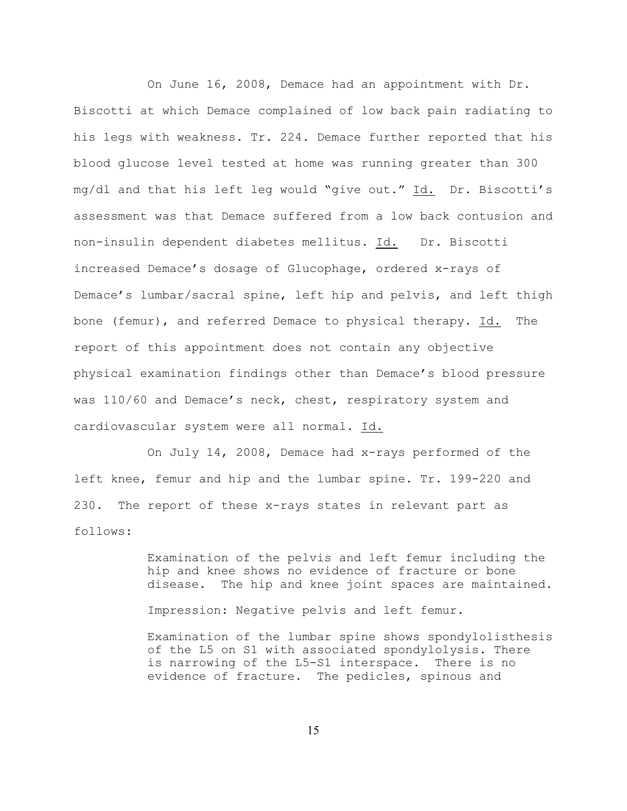On June 16, 2008, Demace had an appointment with Dr. Biscotti at which Demace complained of low back pain radiating to his legs with weakness. Tr. 224. Demace further reported that his blood glucose level tested at home was running greater than 300 mg/dl and that his left leg would "give out." Id. Dr. Biscotti's assessment was that Demace suffered from a low back contusion and non-insulin dependent diabetes mellitus. Id. Dr. Biscotti increased Demace's dosage of Glucophage, ordered x-rays of Demace's lumbar/sacral spine, left hip and pelvis, and left thigh bone (femur), and referred Demace to physical therapy. Id. The report of this appointment does not contain any objective physical examination findings other than Demace's blood pressure was 110/60 and Demace's neck, chest, respiratory system and cardiovascular system were all normal. Id.

On July 14, 2008, Demace had x-rays performed of the left knee, femur and hip and the lumbar spine. Tr. 199-220 and 230. The report of these x-rays states in relevant part as follows:

> Examination of the pelvis and left femur including the hip and knee shows no evidence of fracture or bone disease. The hip and knee joint spaces are maintained.

Impression: Negative pelvis and left femur.

Examination of the lumbar spine shows spondylolisthesis of the L5 on S1 with associated spondylolysis. There is narrowing of the L5-S1 interspace. There is no evidence of fracture. The pedicles, spinous and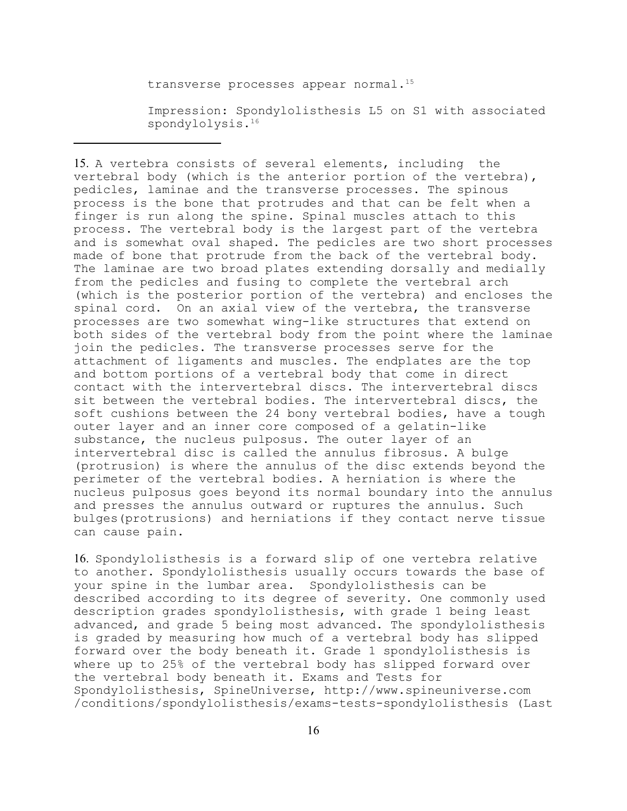transverse processes appear normal.<sup>15</sup>

Impression: Spondylolisthesis L5 on S1 with associated spondylolysis.<sup>16</sup>

15. A vertebra consists of several elements, including the vertebral body (which is the anterior portion of the vertebra), pedicles, laminae and the transverse processes. The spinous process is the bone that protrudes and that can be felt when a finger is run along the spine. Spinal muscles attach to this process. The vertebral body is the largest part of the vertebra and is somewhat oval shaped. The pedicles are two short processes made of bone that protrude from the back of the vertebral body. The laminae are two broad plates extending dorsally and medially from the pedicles and fusing to complete the vertebral arch (which is the posterior portion of the vertebra) and encloses the spinal cord. On an axial view of the vertebra, the transverse processes are two somewhat wing-like structures that extend on both sides of the vertebral body from the point where the laminae join the pedicles. The transverse processes serve for the attachment of ligaments and muscles. The endplates are the top and bottom portions of a vertebral body that come in direct contact with the intervertebral discs. The intervertebral discs sit between the vertebral bodies. The intervertebral discs, the soft cushions between the 24 bony vertebral bodies, have a tough outer layer and an inner core composed of a gelatin-like substance, the nucleus pulposus. The outer layer of an intervertebral disc is called the annulus fibrosus. A bulge (protrusion) is where the annulus of the disc extends beyond the perimeter of the vertebral bodies. A herniation is where the nucleus pulposus goes beyond its normal boundary into the annulus and presses the annulus outward or ruptures the annulus. Such bulges(protrusions) and herniations if they contact nerve tissue can cause pain.

16. Spondylolisthesis is a forward slip of one vertebra relative to another. Spondylolisthesis usually occurs towards the base of your spine in the lumbar area. Spondylolisthesis can be described according to its degree of severity. One commonly used description grades spondylolisthesis, with grade 1 being least advanced, and grade 5 being most advanced. The spondylolisthesis is graded by measuring how much of a vertebral body has slipped forward over the body beneath it. Grade 1 spondylolisthesis is where up to 25% of the vertebral body has slipped forward over the vertebral body beneath it. Exams and Tests for Spondylolisthesis, SpineUniverse, http://www.spineuniverse.com /conditions/spondylolisthesis/exams-tests-spondylolisthesis (Last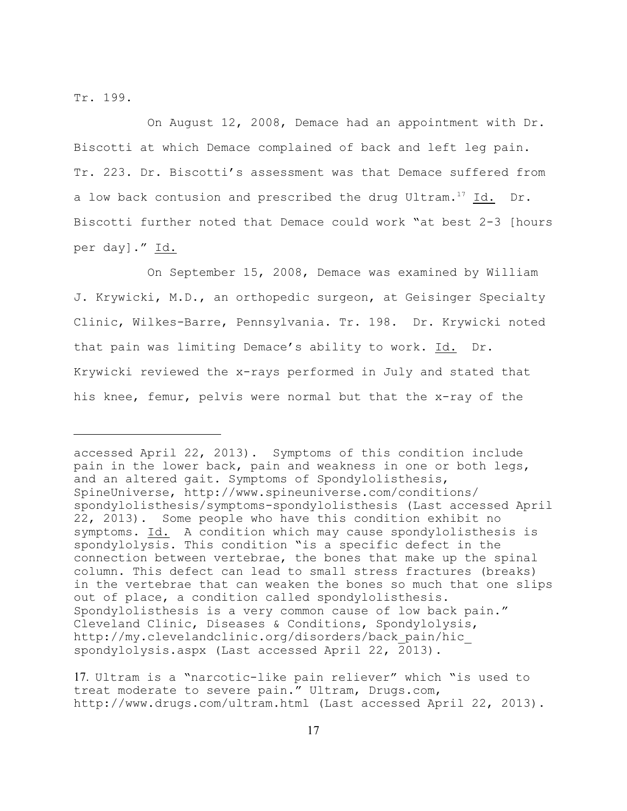Tr. 199.

On August 12, 2008, Demace had an appointment with Dr. Biscotti at which Demace complained of back and left leg pain. Tr. 223. Dr. Biscotti's assessment was that Demace suffered from a low back contusion and prescribed the drug Ultram.<sup>17</sup> Id. Dr. Biscotti further noted that Demace could work "at best 2-3 [hours per day]." Id.

On September 15, 2008, Demace was examined by William J. Krywicki, M.D., an orthopedic surgeon, at Geisinger Specialty Clinic, Wilkes-Barre, Pennsylvania. Tr. 198. Dr. Krywicki noted that pain was limiting Demace's ability to work. Id. Dr. Krywicki reviewed the x-rays performed in July and stated that his knee, femur, pelvis were normal but that the x-ray of the

accessed April 22, 2013). Symptoms of this condition include pain in the lower back, pain and weakness in one or both legs, and an altered gait. Symptoms of Spondylolisthesis, SpineUniverse, http://www.spineuniverse.com/conditions/ spondylolisthesis/symptoms-spondylolisthesis (Last accessed April 22, 2013). Some people who have this condition exhibit no symptoms. Id. A condition which may cause spondylolisthesis is spondylolysis. This condition "is a specific defect in the connection between vertebrae, the bones that make up the spinal column. This defect can lead to small stress fractures (breaks) in the vertebrae that can weaken the bones so much that one slips out of place, a condition called spondylolisthesis. Spondylolisthesis is a very common cause of low back pain." Cleveland Clinic, Diseases & Conditions, Spondylolysis, http://my.clevelandclinic.org/disorders/back\_pain/hic\_ spondylolysis.aspx (Last accessed April 22, 2013).

<sup>17.</sup> Ultram is a "narcotic-like pain reliever" which "is used to treat moderate to severe pain." Ultram, Drugs.com, http://www.drugs.com/ultram.html (Last accessed April 22, 2013).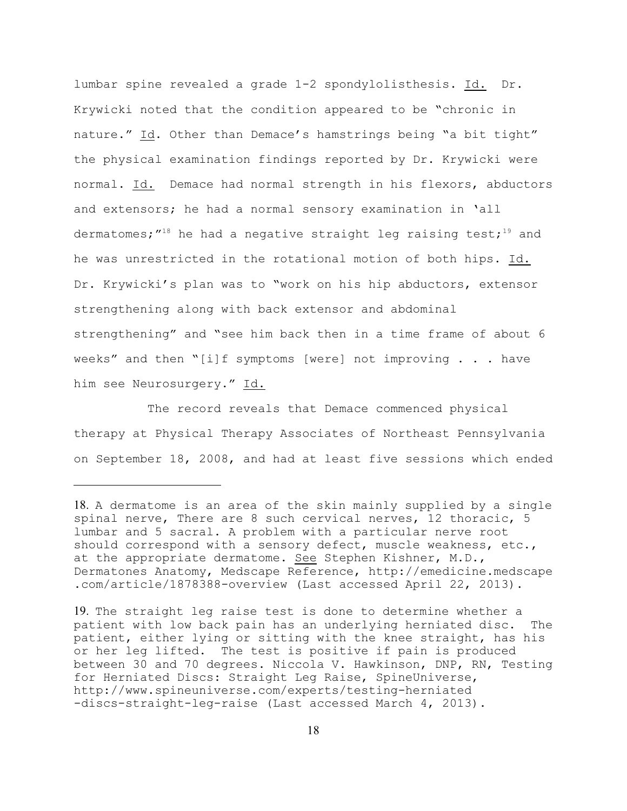lumbar spine revealed a grade 1-2 spondylolisthesis. Id. Dr. Krywicki noted that the condition appeared to be "chronic in nature." Id. Other than Demace's hamstrings being "a bit tight" the physical examination findings reported by Dr. Krywicki were normal. Id. Demace had normal strength in his flexors, abductors and extensors; he had a normal sensory examination in 'all dermatomes;  $''^{18}$  he had a negative straight leg raising test;<sup>19</sup> and he was unrestricted in the rotational motion of both hips. Id. Dr. Krywicki's plan was to "work on his hip abductors, extensor strengthening along with back extensor and abdominal strengthening" and "see him back then in a time frame of about 6 weeks" and then "[i]f symptoms [were] not improving  $\ldots$  . have him see Neurosurgery." Id.

The record reveals that Demace commenced physical therapy at Physical Therapy Associates of Northeast Pennsylvania on September 18, 2008, and had at least five sessions which ended

<sup>18.</sup> A dermatome is an area of the skin mainly supplied by a single spinal nerve, There are 8 such cervical nerves, 12 thoracic, 5 lumbar and 5 sacral. A problem with a particular nerve root should correspond with a sensory defect, muscle weakness, etc., at the appropriate dermatome. See Stephen Kishner, M.D., Dermatones Anatomy, Medscape Reference, http://emedicine.medscape .com/article/1878388-overview (Last accessed April 22, 2013).

<sup>19.</sup> The straight leg raise test is done to determine whether a patient with low back pain has an underlying herniated disc. The patient, either lying or sitting with the knee straight, has his or her leg lifted. The test is positive if pain is produced between 30 and 70 degrees. Niccola V. Hawkinson, DNP, RN, Testing for Herniated Discs: Straight Leg Raise, SpineUniverse, http://www.spineuniverse.com/experts/testing-herniated -discs-straight-leg-raise (Last accessed March 4, 2013).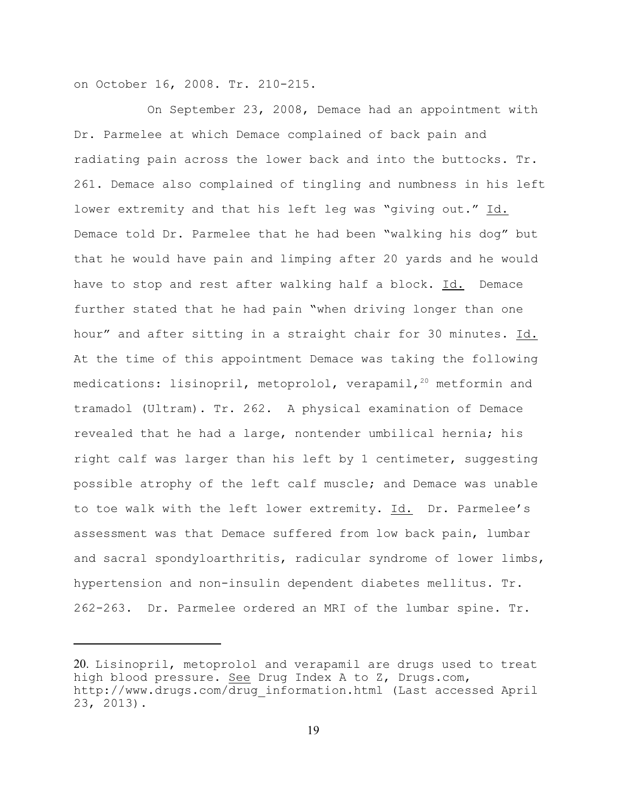on October 16, 2008. Tr. 210-215.

On September 23, 2008, Demace had an appointment with Dr. Parmelee at which Demace complained of back pain and radiating pain across the lower back and into the buttocks. Tr. 261. Demace also complained of tingling and numbness in his left lower extremity and that his left leg was "giving out." Id. Demace told Dr. Parmelee that he had been "walking his dog" but that he would have pain and limping after 20 yards and he would have to stop and rest after walking half a block. Id. Demace further stated that he had pain "when driving longer than one hour" and after sitting in a straight chair for 30 minutes. Id. At the time of this appointment Demace was taking the following medications: lisinopril, metoprolol, verapamil,<sup>20</sup> metformin and tramadol (Ultram). Tr. 262. A physical examination of Demace revealed that he had a large, nontender umbilical hernia; his right calf was larger than his left by 1 centimeter, suggesting possible atrophy of the left calf muscle; and Demace was unable to toe walk with the left lower extremity. Id. Dr. Parmelee's assessment was that Demace suffered from low back pain, lumbar and sacral spondyloarthritis, radicular syndrome of lower limbs, hypertension and non-insulin dependent diabetes mellitus. Tr. 262-263. Dr. Parmelee ordered an MRI of the lumbar spine. Tr.

<sup>20.</sup> Lisinopril, metoprolol and verapamil are drugs used to treat high blood pressure. See Drug Index A to Z, Drugs.com, http://www.drugs.com/drug\_information.html (Last accessed April 23, 2013).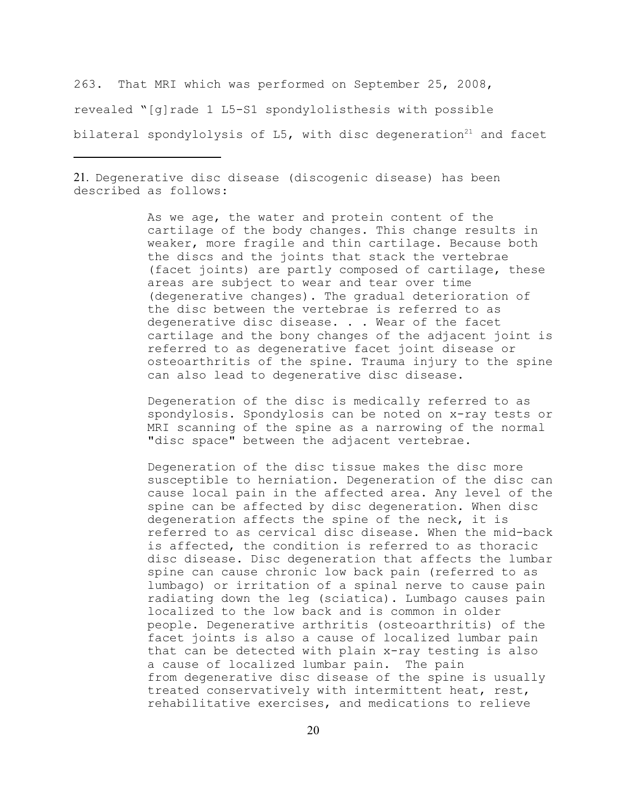263. That MRI which was performed on September 25, 2008, revealed "[g]rade 1 L5-S1 spondylolisthesis with possible bilateral spondylolysis of  $L5$ , with disc degeneration<sup>21</sup> and facet

21. Degenerative disc disease (discogenic disease) has been described as follows:

> As we age, the water and protein content of the cartilage of the body changes. This change results in weaker, more fragile and thin cartilage. Because both the discs and the joints that stack the vertebrae (facet joints) are partly composed of cartilage, these areas are subject to wear and tear over time (degenerative changes). The gradual deterioration of the disc between the vertebrae is referred to as degenerative disc disease. . . Wear of the facet cartilage and the bony changes of the adjacent joint is referred to as degenerative facet joint disease or osteoarthritis of the spine. Trauma injury to the spine can also lead to degenerative disc disease.

> Degeneration of the disc is medically referred to as spondylosis. Spondylosis can be noted on x-ray tests or MRI scanning of the spine as a narrowing of the normal "disc space" between the adjacent vertebrae.

> Degeneration of the disc tissue makes the disc more susceptible to herniation. Degeneration of the disc can cause local pain in the affected area. Any level of the spine can be affected by disc degeneration. When disc degeneration affects the spine of the neck, it is referred to as cervical disc disease. When the mid-back is affected, the condition is referred to as thoracic disc disease. Disc degeneration that affects the lumbar spine can cause chronic low back pain (referred to as lumbago) or irritation of a spinal nerve to cause pain radiating down the leg (sciatica). Lumbago causes pain localized to the low back and is common in older people. Degenerative arthritis (osteoarthritis) of the facet joints is also a cause of localized lumbar pain that can be detected with plain x-ray testing is also a cause of localized lumbar pain. The pain from degenerative disc disease of the spine is usually treated conservatively with intermittent heat, rest, rehabilitative exercises, and medications to relieve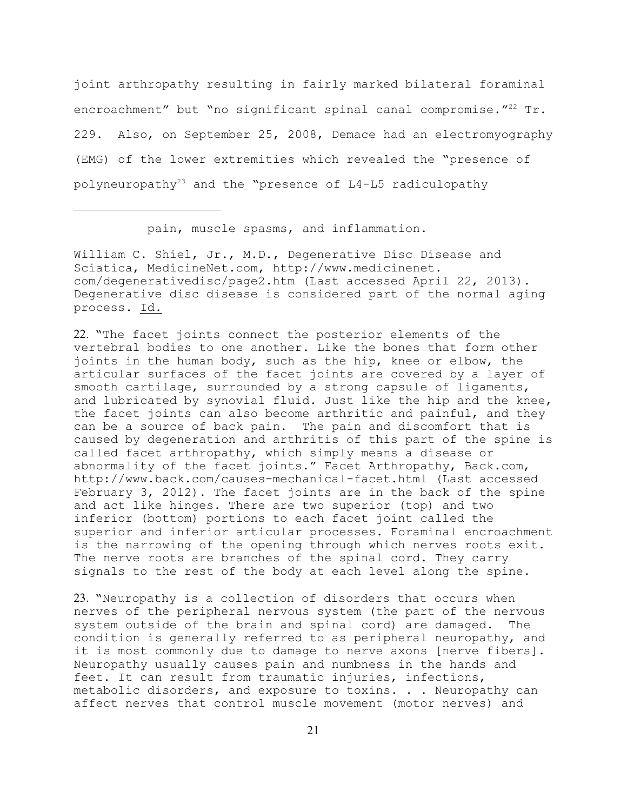joint arthropathy resulting in fairly marked bilateral foraminal encroachment" but "no significant spinal canal compromise." $^{22}$  Tr. 229. Also, on September 25, 2008, Demace had an electromyography (EMG) of the lower extremities which revealed the "presence of polyneuropathy<sup>23</sup> and the "presence of  $L4-L5$  radiculopathy

pain, muscle spasms, and inflammation.

William C. Shiel, Jr., M.D., Degenerative Disc Disease and Sciatica, MedicineNet.com, http://www.medicinenet. com/degenerativedisc/page2.htm (Last accessed April 22, 2013). Degenerative disc disease is considered part of the normal aging process. Id.

22. "The facet joints connect the posterior elements of the vertebral bodies to one another. Like the bones that form other joints in the human body, such as the hip, knee or elbow, the articular surfaces of the facet joints are covered by a layer of smooth cartilage, surrounded by a strong capsule of ligaments, and lubricated by synovial fluid. Just like the hip and the knee, the facet joints can also become arthritic and painful, and they can be a source of back pain. The pain and discomfort that is caused by degeneration and arthritis of this part of the spine is called facet arthropathy, which simply means a disease or abnormality of the facet joints." Facet Arthropathy, Back.com, http://www.back.com/causes-mechanical-facet.html (Last accessed February 3, 2012). The facet joints are in the back of the spine and act like hinges. There are two superior (top) and two inferior (bottom) portions to each facet joint called the superior and inferior articular processes. Foraminal encroachment is the narrowing of the opening through which nerves roots exit. The nerve roots are branches of the spinal cord. They carry signals to the rest of the body at each level along the spine.

23. "Neuropathy is a collection of disorders that occurs when nerves of the peripheral nervous system (the part of the nervous system outside of the brain and spinal cord) are damaged. The condition is generally referred to as peripheral neuropathy, and it is most commonly due to damage to nerve axons [nerve fibers]. Neuropathy usually causes pain and numbness in the hands and feet. It can result from traumatic injuries, infections, metabolic disorders, and exposure to toxins. . . Neuropathy can affect nerves that control muscle movement (motor nerves) and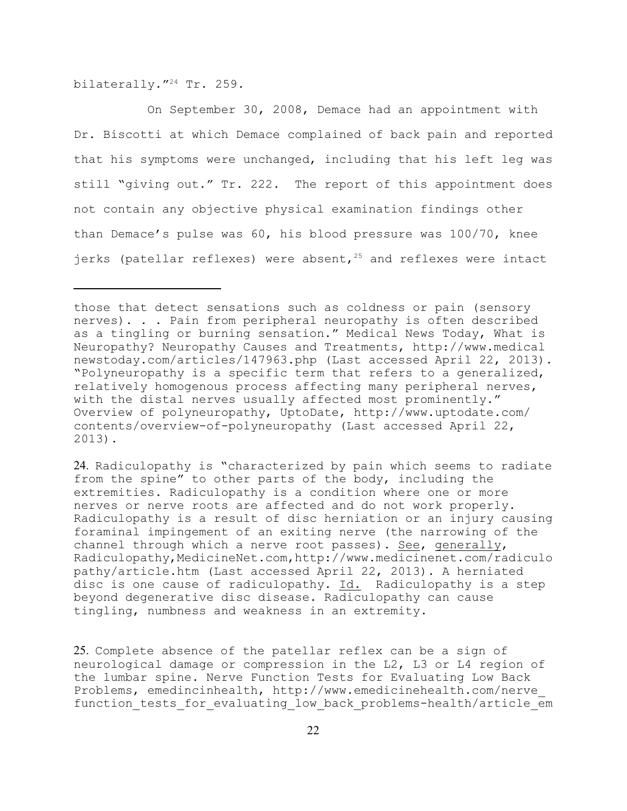bilaterally."<sup>24</sup> Tr. 259.

On September 30, 2008, Demace had an appointment with Dr. Biscotti at which Demace complained of back pain and reported that his symptoms were unchanged, including that his left leg was still "giving out." Tr. 222. The report of this appointment does not contain any objective physical examination findings other than Demace's pulse was 60, his blood pressure was 100/70, knee jerks (patellar reflexes) were absent,  $25$  and reflexes were intact

24. Radiculopathy is "characterized by pain which seems to radiate from the spine" to other parts of the body, including the extremities. Radiculopathy is a condition where one or more nerves or nerve roots are affected and do not work properly. Radiculopathy is a result of disc herniation or an injury causing foraminal impingement of an exiting nerve (the narrowing of the channel through which a nerve root passes). See, generally, Radiculopathy,MedicineNet.com,http://www.medicinenet.com/radiculo pathy/article.htm (Last accessed April 22, 2013). A herniated disc is one cause of radiculopathy. Id. Radiculopathy is a step beyond degenerative disc disease. Radiculopathy can cause tingling, numbness and weakness in an extremity.

25. Complete absence of the patellar reflex can be a sign of neurological damage or compression in the L2, L3 or L4 region of the lumbar spine. Nerve Function Tests for Evaluating Low Back Problems, emedincinhealth, http://www.emedicinehealth.com/nerve\_ function tests for evaluating low back problems-health/article em

those that detect sensations such as coldness or pain (sensory nerves). . . Pain from peripheral neuropathy is often described as a tingling or burning sensation." Medical News Today, What is Neuropathy? Neuropathy Causes and Treatments, http://www.medical newstoday.com/articles/147963.php (Last accessed April 22, 2013). "Polyneuropathy is a specific term that refers to a generalized, relatively homogenous process affecting many peripheral nerves, with the distal nerves usually affected most prominently." Overview of polyneuropathy, UptoDate, http://www.uptodate.com/ contents/overview-of-polyneuropathy (Last accessed April 22, 2013).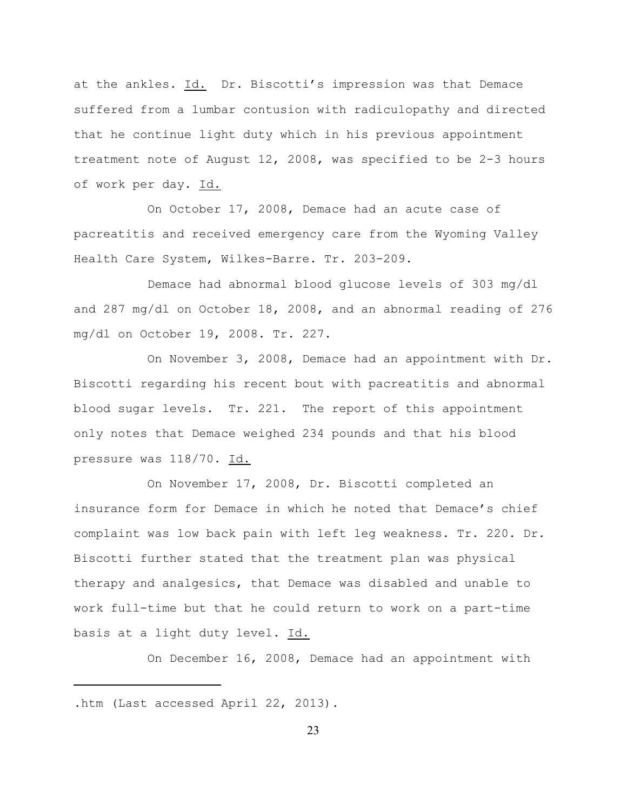at the ankles. Id. Dr. Biscotti's impression was that Demace suffered from a lumbar contusion with radiculopathy and directed that he continue light duty which in his previous appointment treatment note of August 12, 2008, was specified to be 2-3 hours of work per day. Id.

On October 17, 2008, Demace had an acute case of pacreatitis and received emergency care from the Wyoming Valley Health Care System, Wilkes-Barre. Tr. 203-209.

Demace had abnormal blood glucose levels of 303 mg/dl and 287 mg/dl on October 18, 2008, and an abnormal reading of 276 mg/dl on October 19, 2008. Tr. 227.

On November 3, 2008, Demace had an appointment with Dr. Biscotti regarding his recent bout with pacreatitis and abnormal blood sugar levels. Tr. 221. The report of this appointment only notes that Demace weighed 234 pounds and that his blood pressure was 118/70. Id.

On November 17, 2008, Dr. Biscotti completed an insurance form for Demace in which he noted that Demace's chief complaint was low back pain with left leg weakness. Tr. 220. Dr. Biscotti further stated that the treatment plan was physical therapy and analgesics, that Demace was disabled and unable to work full-time but that he could return to work on a part-time basis at a light duty level. Id.

On December 16, 2008, Demace had an appointment with

.htm (Last accessed April 22, 2013).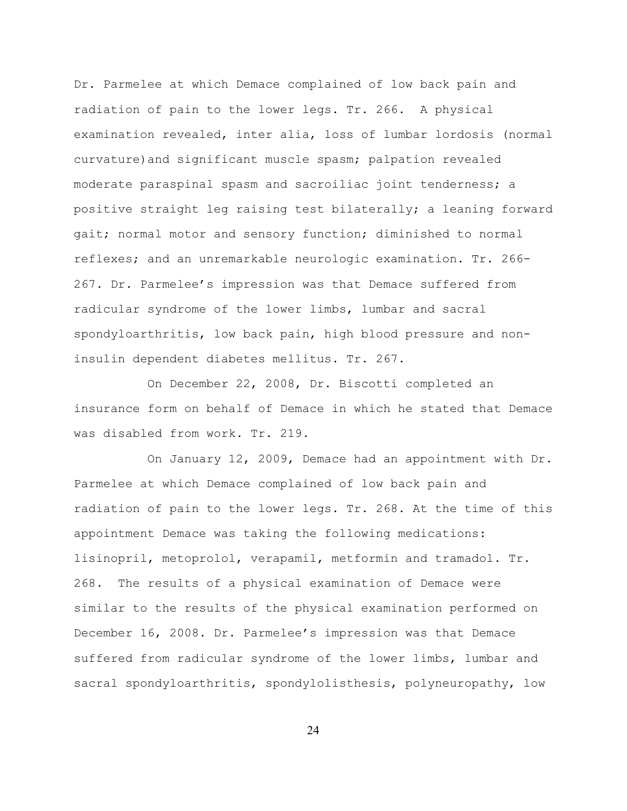Dr. Parmelee at which Demace complained of low back pain and radiation of pain to the lower legs. Tr. 266. A physical examination revealed, inter alia, loss of lumbar lordosis (normal curvature)and significant muscle spasm; palpation revealed moderate paraspinal spasm and sacroiliac joint tenderness; a positive straight leg raising test bilaterally; a leaning forward gait; normal motor and sensory function; diminished to normal reflexes; and an unremarkable neurologic examination. Tr. 266- 267. Dr. Parmelee's impression was that Demace suffered from radicular syndrome of the lower limbs, lumbar and sacral spondyloarthritis, low back pain, high blood pressure and noninsulin dependent diabetes mellitus. Tr. 267.

On December 22, 2008, Dr. Biscotti completed an insurance form on behalf of Demace in which he stated that Demace was disabled from work. Tr. 219.

On January 12, 2009, Demace had an appointment with Dr. Parmelee at which Demace complained of low back pain and radiation of pain to the lower legs. Tr. 268. At the time of this appointment Demace was taking the following medications: lisinopril, metoprolol, verapamil, metformin and tramadol. Tr. 268. The results of a physical examination of Demace were similar to the results of the physical examination performed on December 16, 2008. Dr. Parmelee's impression was that Demace suffered from radicular syndrome of the lower limbs, lumbar and sacral spondyloarthritis, spondylolisthesis, polyneuropathy, low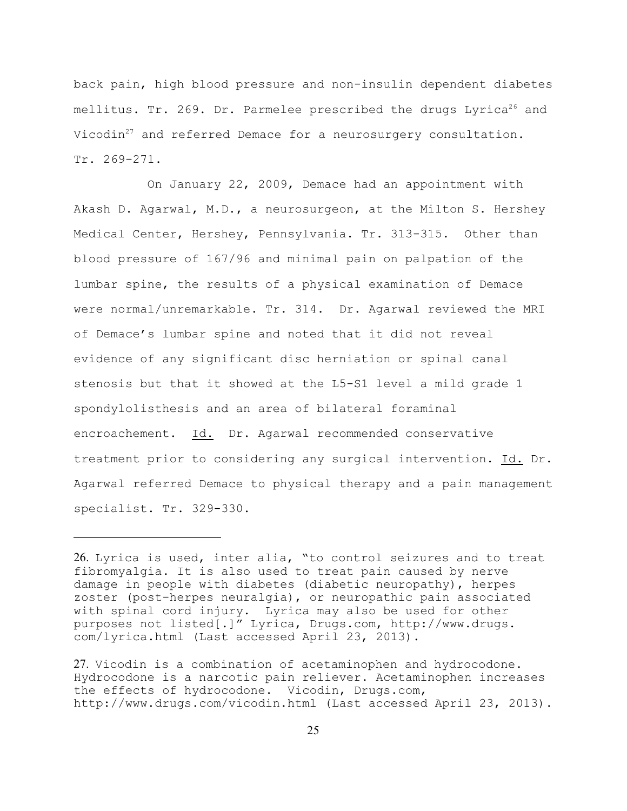back pain, high blood pressure and non-insulin dependent diabetes mellitus. Tr. 269. Dr. Parmelee prescribed the drugs Lyrica<sup>26</sup> and Vicodin $27$  and referred Demace for a neurosurgery consultation. Tr. 269-271.

On January 22, 2009, Demace had an appointment with Akash D. Agarwal, M.D., a neurosurgeon, at the Milton S. Hershey Medical Center, Hershey, Pennsylvania. Tr. 313-315. Other than blood pressure of 167/96 and minimal pain on palpation of the lumbar spine, the results of a physical examination of Demace were normal/unremarkable. Tr. 314. Dr. Agarwal reviewed the MRI of Demace's lumbar spine and noted that it did not reveal evidence of any significant disc herniation or spinal canal stenosis but that it showed at the L5-S1 level a mild grade 1 spondylolisthesis and an area of bilateral foraminal encroachement. Id. Dr. Agarwal recommended conservative treatment prior to considering any surgical intervention. Id. Dr. Agarwal referred Demace to physical therapy and a pain management specialist. Tr. 329-330.

<sup>26.</sup> Lyrica is used, inter alia, "to control seizures and to treat fibromyalgia. It is also used to treat pain caused by nerve damage in people with diabetes (diabetic neuropathy), herpes zoster (post-herpes neuralgia), or neuropathic pain associated with spinal cord injury. Lyrica may also be used for other purposes not listed[.]" Lyrica, Drugs.com, http://www.drugs. com/lyrica.html (Last accessed April 23, 2013).

<sup>27.</sup> Vicodin is a combination of acetaminophen and hydrocodone. Hydrocodone is a narcotic pain reliever. Acetaminophen increases the effects of hydrocodone. Vicodin, Drugs.com, http://www.drugs.com/vicodin.html (Last accessed April 23, 2013).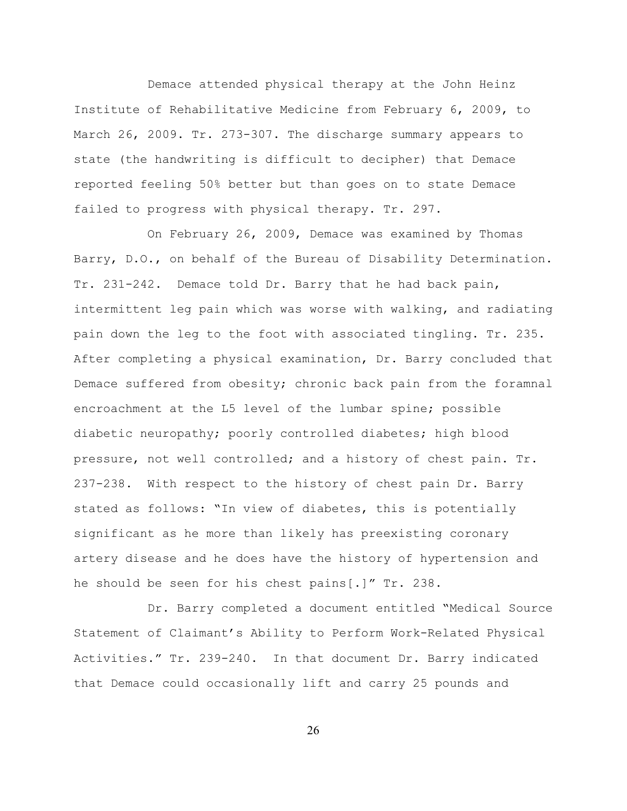Demace attended physical therapy at the John Heinz Institute of Rehabilitative Medicine from February 6, 2009, to March 26, 2009. Tr. 273-307. The discharge summary appears to state (the handwriting is difficult to decipher) that Demace reported feeling 50% better but than goes on to state Demace failed to progress with physical therapy. Tr. 297.

On February 26, 2009, Demace was examined by Thomas Barry, D.O., on behalf of the Bureau of Disability Determination. Tr. 231-242. Demace told Dr. Barry that he had back pain, intermittent leg pain which was worse with walking, and radiating pain down the leg to the foot with associated tingling. Tr. 235. After completing a physical examination, Dr. Barry concluded that Demace suffered from obesity; chronic back pain from the foramnal encroachment at the L5 level of the lumbar spine; possible diabetic neuropathy; poorly controlled diabetes; high blood pressure, not well controlled; and a history of chest pain. Tr. 237-238. With respect to the history of chest pain Dr. Barry stated as follows: "In view of diabetes, this is potentially significant as he more than likely has preexisting coronary artery disease and he does have the history of hypertension and he should be seen for his chest pains[.]" Tr. 238.

Dr. Barry completed a document entitled "Medical Source Statement of Claimant's Ability to Perform Work-Related Physical Activities." Tr. 239-240. In that document Dr. Barry indicated that Demace could occasionally lift and carry 25 pounds and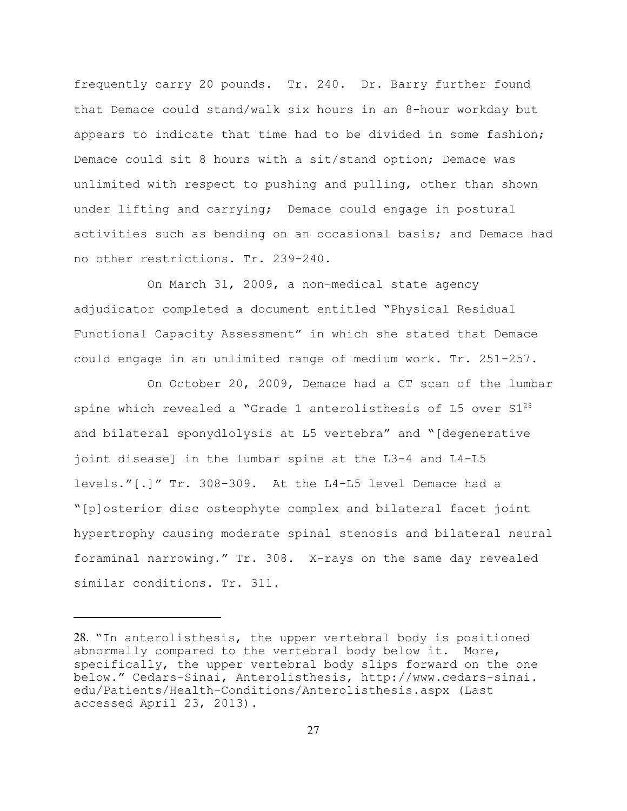frequently carry 20 pounds. Tr. 240. Dr. Barry further found that Demace could stand/walk six hours in an 8-hour workday but appears to indicate that time had to be divided in some fashion; Demace could sit 8 hours with a sit/stand option; Demace was unlimited with respect to pushing and pulling, other than shown under lifting and carrying; Demace could engage in postural activities such as bending on an occasional basis; and Demace had no other restrictions. Tr. 239-240.

On March 31, 2009, a non-medical state agency adjudicator completed a document entitled "Physical Residual Functional Capacity Assessment" in which she stated that Demace could engage in an unlimited range of medium work. Tr. 251-257.

On October 20, 2009, Demace had a CT scan of the lumbar spine which revealed a "Grade 1 anterolisthesis of  $L5$  over  $S1^{28}$ and bilateral sponydlolysis at L5 vertebra" and "[degenerative joint disease] in the lumbar spine at the L3-4 and L4-L5 levels."[.]" Tr. 308-309. At the L4-L5 level Demace had a "[p]osterior disc osteophyte complex and bilateral facet joint hypertrophy causing moderate spinal stenosis and bilateral neural foraminal narrowing." Tr. 308. X-rays on the same day revealed similar conditions. Tr. 311.

<sup>28.</sup> "In anterolisthesis, the upper vertebral body is positioned abnormally compared to the vertebral body below it. More, specifically, the upper vertebral body slips forward on the one below." Cedars-Sinai, Anterolisthesis, http://www.cedars-sinai. edu/Patients/Health-Conditions/Anterolisthesis.aspx (Last accessed April 23, 2013).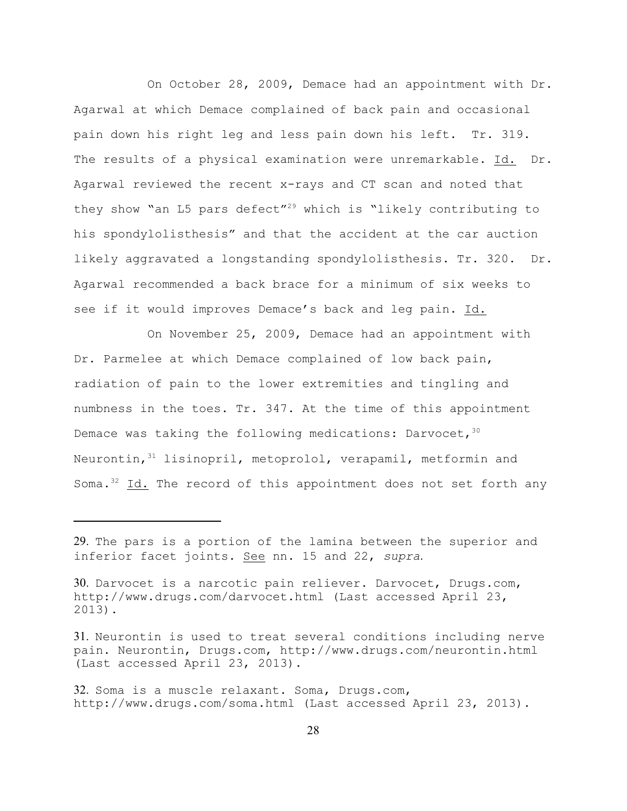On October 28, 2009, Demace had an appointment with Dr. Agarwal at which Demace complained of back pain and occasional pain down his right leg and less pain down his left. Tr. 319. The results of a physical examination were unremarkable. Id. Dr. Agarwal reviewed the recent x-rays and CT scan and noted that they show "an L5 pars defect"<sup>29</sup> which is "likely contributing to his spondylolisthesis" and that the accident at the car auction likely aggravated a longstanding spondylolisthesis. Tr. 320. Dr. Agarwal recommended a back brace for a minimum of six weeks to see if it would improves Demace's back and leg pain. Id.

On November 25, 2009, Demace had an appointment with Dr. Parmelee at which Demace complained of low back pain, radiation of pain to the lower extremities and tingling and numbness in the toes. Tr. 347. At the time of this appointment Demace was taking the following medications: Darvocet,  $30$ Neurontin,  $31$  lisinopril, metoprolol, verapamil, metformin and Soma. $^{32}$  Id. The record of this appointment does not set forth any

<sup>29.</sup> The pars is a portion of the lamina between the superior and inferior facet joints. See nn. 15 and 22, *supra*.

<sup>30.</sup> Darvocet is a narcotic pain reliever. Darvocet, Drugs.com, http://www.drugs.com/darvocet.html (Last accessed April 23, 2013).

<sup>31.</sup> Neurontin is used to treat several conditions including nerve pain. Neurontin, Drugs.com, http://www.drugs.com/neurontin.html (Last accessed April 23, 2013).

<sup>32.</sup> Soma is a muscle relaxant. Soma, Drugs.com, http://www.drugs.com/soma.html (Last accessed April 23, 2013).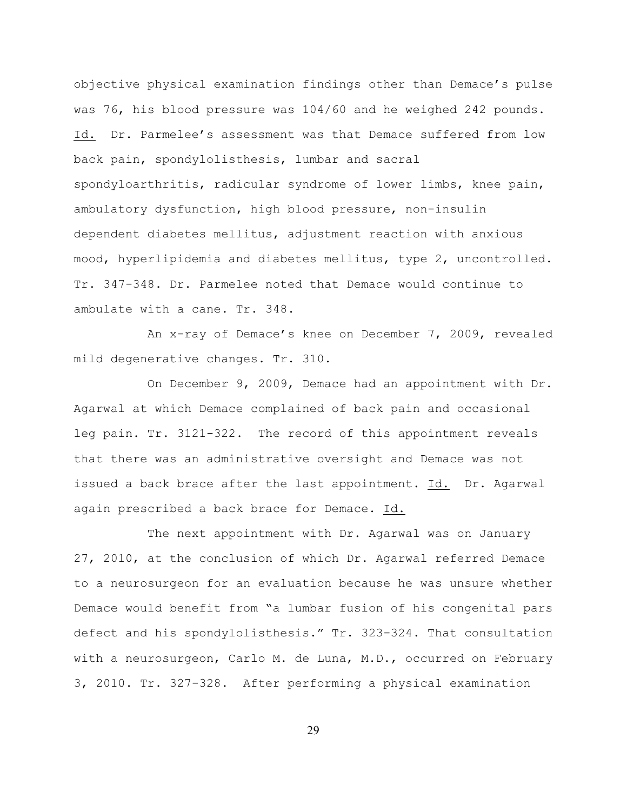objective physical examination findings other than Demace's pulse was 76, his blood pressure was 104/60 and he weighed 242 pounds. Id. Dr. Parmelee's assessment was that Demace suffered from low back pain, spondylolisthesis, lumbar and sacral spondyloarthritis, radicular syndrome of lower limbs, knee pain, ambulatory dysfunction, high blood pressure, non-insulin dependent diabetes mellitus, adjustment reaction with anxious mood, hyperlipidemia and diabetes mellitus, type 2, uncontrolled. Tr. 347-348. Dr. Parmelee noted that Demace would continue to ambulate with a cane. Tr. 348.

An x-ray of Demace's knee on December 7, 2009, revealed mild degenerative changes. Tr. 310.

On December 9, 2009, Demace had an appointment with Dr. Agarwal at which Demace complained of back pain and occasional leg pain. Tr. 3121-322. The record of this appointment reveals that there was an administrative oversight and Demace was not issued a back brace after the last appointment. Id. Dr. Agarwal again prescribed a back brace for Demace. Id.

The next appointment with Dr. Agarwal was on January 27, 2010, at the conclusion of which Dr. Agarwal referred Demace to a neurosurgeon for an evaluation because he was unsure whether Demace would benefit from "a lumbar fusion of his congenital pars defect and his spondylolisthesis." Tr. 323-324. That consultation with a neurosurgeon, Carlo M. de Luna, M.D., occurred on February 3, 2010. Tr. 327-328. After performing a physical examination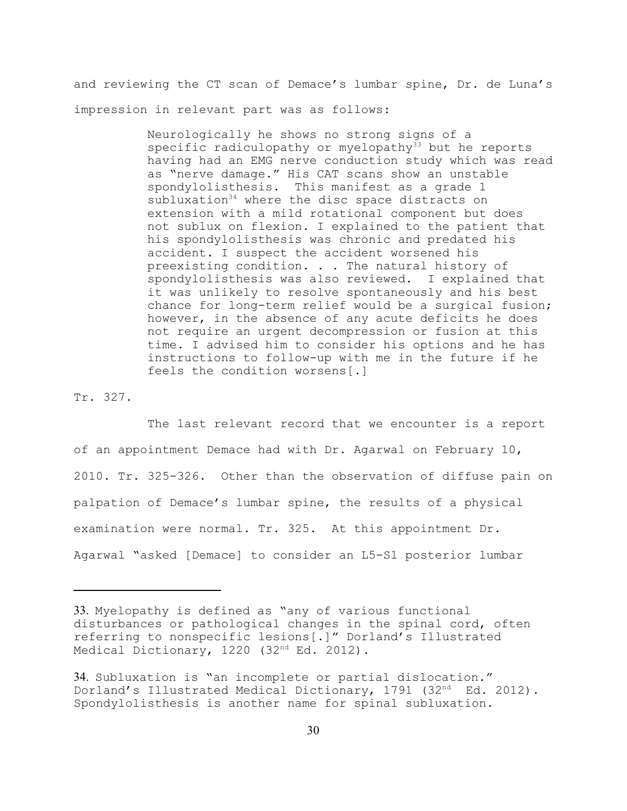and reviewing the CT scan of Demace's lumbar spine, Dr. de Luna's impression in relevant part was as follows:

> Neurologically he shows no strong signs of a specific radiculopathy or myelopathy<sup>33</sup> but he reports having had an EMG nerve conduction study which was read as "nerve damage." His CAT scans show an unstable spondylolisthesis. This manifest as a grade 1 subluxation<sup>34</sup> where the disc space distracts on extension with a mild rotational component but does not sublux on flexion. I explained to the patient that his spondylolisthesis was chronic and predated his accident. I suspect the accident worsened his preexisting condition. . . The natural history of spondylolisthesis was also reviewed. I explained that it was unlikely to resolve spontaneously and his best chance for long-term relief would be a surgical fusion; however, in the absence of any acute deficits he does not require an urgent decompression or fusion at this time. I advised him to consider his options and he has instructions to follow-up with me in the future if he feels the condition worsens[.]

Tr. 327.

The last relevant record that we encounter is a report of an appointment Demace had with Dr. Agarwal on February 10, 2010. Tr. 325-326. Other than the observation of diffuse pain on palpation of Demace's lumbar spine, the results of a physical examination were normal. Tr. 325. At this appointment Dr. Agarwal "asked [Demace] to consider an L5-S1 posterior lumbar

<sup>33.</sup> Myelopathy is defined as "any of various functional disturbances or pathological changes in the spinal cord, often referring to nonspecific lesions[.]" Dorland's Illustrated Medical Dictionary,  $1220$  ( $32<sup>nd</sup> Ed. 2012$ ).

<sup>34.</sup> Subluxation is "an incomplete or partial dislocation." Dorland's Illustrated Medical Dictionary, 1791 (32<sup>nd</sup> Ed. 2012). Spondylolisthesis is another name for spinal subluxation.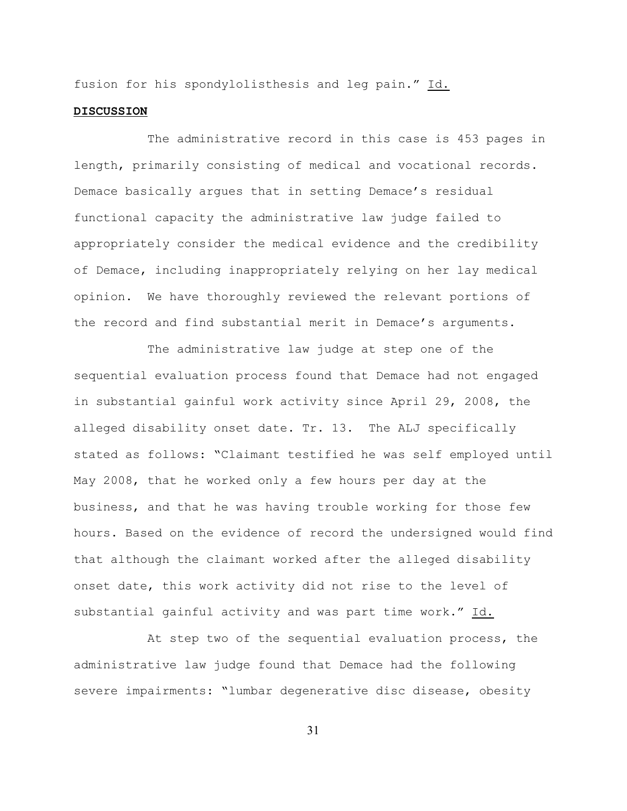fusion for his spondylolisthesis and leg pain." Id.

#### **DISCUSSION**

The administrative record in this case is 453 pages in length, primarily consisting of medical and vocational records. Demace basically argues that in setting Demace's residual functional capacity the administrative law judge failed to appropriately consider the medical evidence and the credibility of Demace, including inappropriately relying on her lay medical opinion. We have thoroughly reviewed the relevant portions of the record and find substantial merit in Demace's arguments.

The administrative law judge at step one of the sequential evaluation process found that Demace had not engaged in substantial gainful work activity since April 29, 2008, the alleged disability onset date. Tr. 13. The ALJ specifically stated as follows: "Claimant testified he was self employed until May 2008, that he worked only a few hours per day at the business, and that he was having trouble working for those few hours. Based on the evidence of record the undersigned would find that although the claimant worked after the alleged disability onset date, this work activity did not rise to the level of substantial gainful activity and was part time work." Id.

At step two of the sequential evaluation process, the administrative law judge found that Demace had the following severe impairments: "lumbar degenerative disc disease, obesity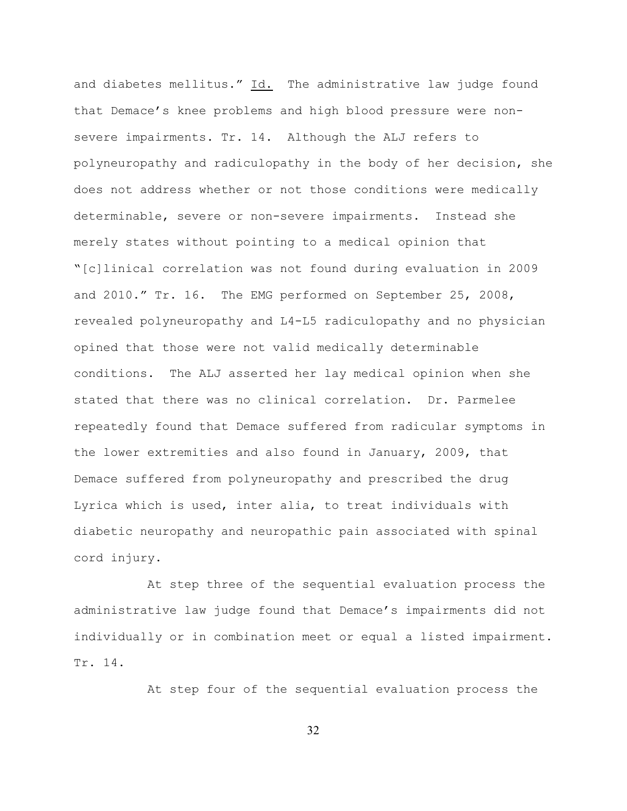and diabetes mellitus." Id. The administrative law judge found that Demace's knee problems and high blood pressure were nonsevere impairments. Tr. 14. Although the ALJ refers to polyneuropathy and radiculopathy in the body of her decision, she does not address whether or not those conditions were medically determinable, severe or non-severe impairments. Instead she merely states without pointing to a medical opinion that "[c]linical correlation was not found during evaluation in 2009 and 2010." Tr. 16. The EMG performed on September 25, 2008, revealed polyneuropathy and L4-L5 radiculopathy and no physician opined that those were not valid medically determinable conditions. The ALJ asserted her lay medical opinion when she stated that there was no clinical correlation. Dr. Parmelee repeatedly found that Demace suffered from radicular symptoms in the lower extremities and also found in January, 2009, that Demace suffered from polyneuropathy and prescribed the drug Lyrica which is used, inter alia, to treat individuals with diabetic neuropathy and neuropathic pain associated with spinal cord injury.

At step three of the sequential evaluation process the administrative law judge found that Demace's impairments did not individually or in combination meet or equal a listed impairment. Tr. 14.

At step four of the sequential evaluation process the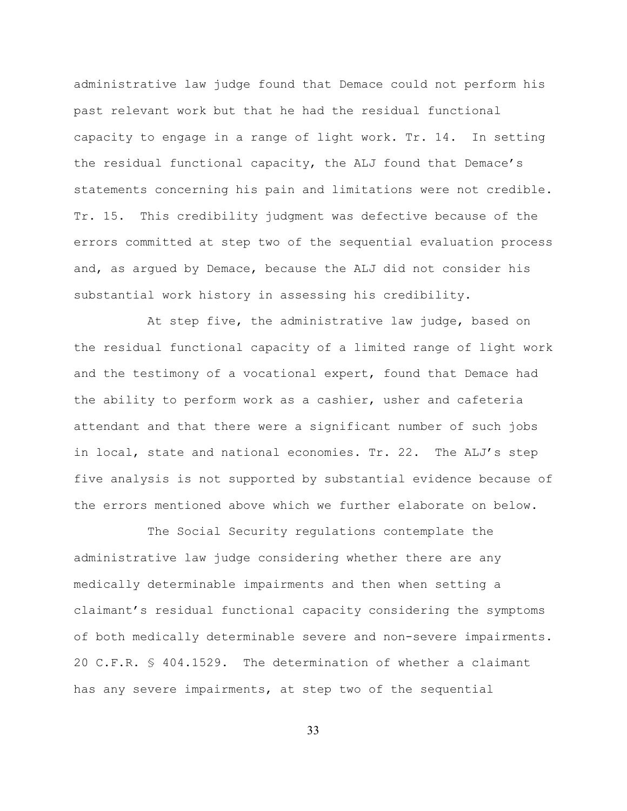administrative law judge found that Demace could not perform his past relevant work but that he had the residual functional capacity to engage in a range of light work. Tr. 14. In setting the residual functional capacity, the ALJ found that Demace's statements concerning his pain and limitations were not credible. Tr. 15. This credibility judgment was defective because of the errors committed at step two of the sequential evaluation process and, as argued by Demace, because the ALJ did not consider his substantial work history in assessing his credibility.

At step five, the administrative law judge, based on the residual functional capacity of a limited range of light work and the testimony of a vocational expert, found that Demace had the ability to perform work as a cashier, usher and cafeteria attendant and that there were a significant number of such jobs in local, state and national economies. Tr. 22. The ALJ's step five analysis is not supported by substantial evidence because of the errors mentioned above which we further elaborate on below.

The Social Security regulations contemplate the administrative law judge considering whether there are any medically determinable impairments and then when setting a claimant's residual functional capacity considering the symptoms of both medically determinable severe and non-severe impairments. 20 C.F.R. § 404.1529. The determination of whether a claimant has any severe impairments, at step two of the sequential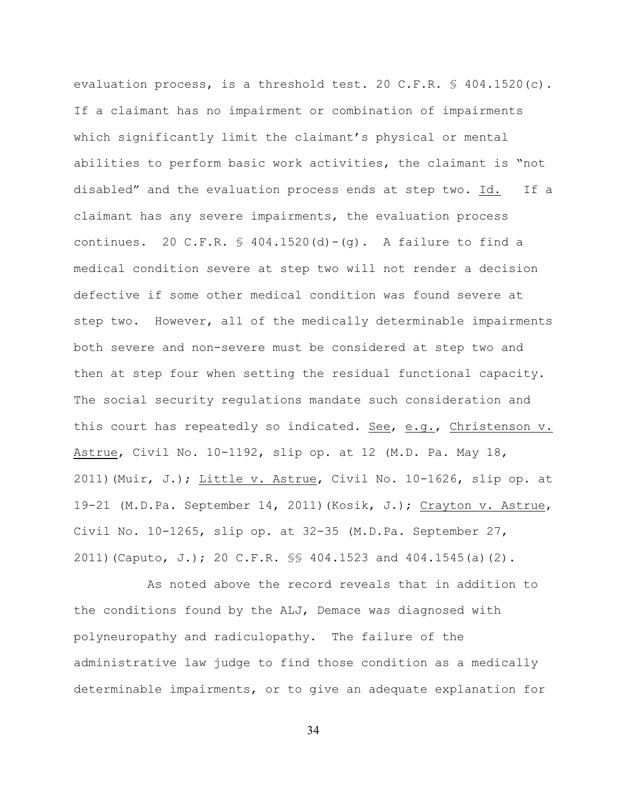evaluation process, is a threshold test. 20 C.F.R. § 404.1520(c). If a claimant has no impairment or combination of impairments which significantly limit the claimant's physical or mental abilities to perform basic work activities, the claimant is "not disabled" and the evaluation process ends at step two. Id. If a claimant has any severe impairments, the evaluation process continues. 20 C.F.R.  $\frac{1}{2}$  404.1520(d) - (q). A failure to find a medical condition severe at step two will not render a decision defective if some other medical condition was found severe at step two. However, all of the medically determinable impairments both severe and non-severe must be considered at step two and then at step four when setting the residual functional capacity. The social security regulations mandate such consideration and this court has repeatedly so indicated. See, e.g., Christenson v. Astrue, Civil No. 10-1192, slip op. at 12 (M.D. Pa. May 18, 2011)(Muir, J.); Little v. Astrue, Civil No. 10-1626, slip op. at 19-21 (M.D.Pa. September 14, 2011)(Kosik, J.); Crayton v. Astrue, Civil No.  $10-1265$ , slip op. at  $32-35$  (M.D.Pa. September  $27$ , 2011)(Caputo, J.); 20 C.F.R. §§ 404.1523 and 404.1545(a)(2).

As noted above the record reveals that in addition to the conditions found by the ALJ, Demace was diagnosed with polyneuropathy and radiculopathy. The failure of the administrative law judge to find those condition as a medically determinable impairments, or to give an adequate explanation for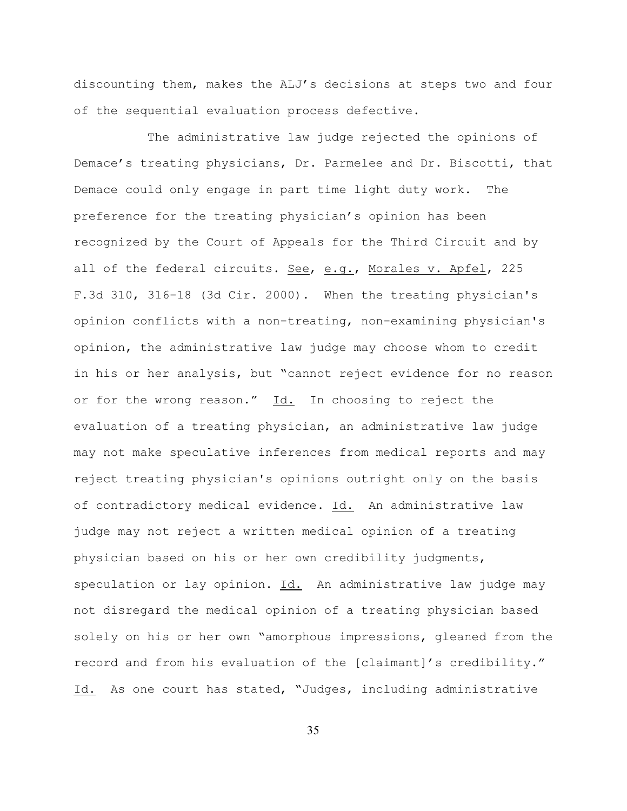discounting them, makes the ALJ's decisions at steps two and four of the sequential evaluation process defective.

The administrative law judge rejected the opinions of Demace's treating physicians, Dr. Parmelee and Dr. Biscotti, that Demace could only engage in part time light duty work. The preference for the treating physician's opinion has been recognized by the Court of Appeals for the Third Circuit and by all of the federal circuits. See, e.g., Morales v. Apfel, 225 F.3d 310, 316-18 (3d Cir. 2000). When the treating physician's opinion conflicts with a non-treating, non-examining physician's opinion, the administrative law judge may choose whom to credit in his or her analysis, but "cannot reject evidence for no reason or for the wrong reason." Id. In choosing to reject the evaluation of a treating physician, an administrative law judge may not make speculative inferences from medical reports and may reject treating physician's opinions outright only on the basis of contradictory medical evidence. Id. An administrative law judge may not reject a written medical opinion of a treating physician based on his or her own credibility judgments, speculation or lay opinion. Id. An administrative law judge may not disregard the medical opinion of a treating physician based solely on his or her own "amorphous impressions, gleaned from the record and from his evaluation of the [claimant]'s credibility." Id. As one court has stated, "Judges, including administrative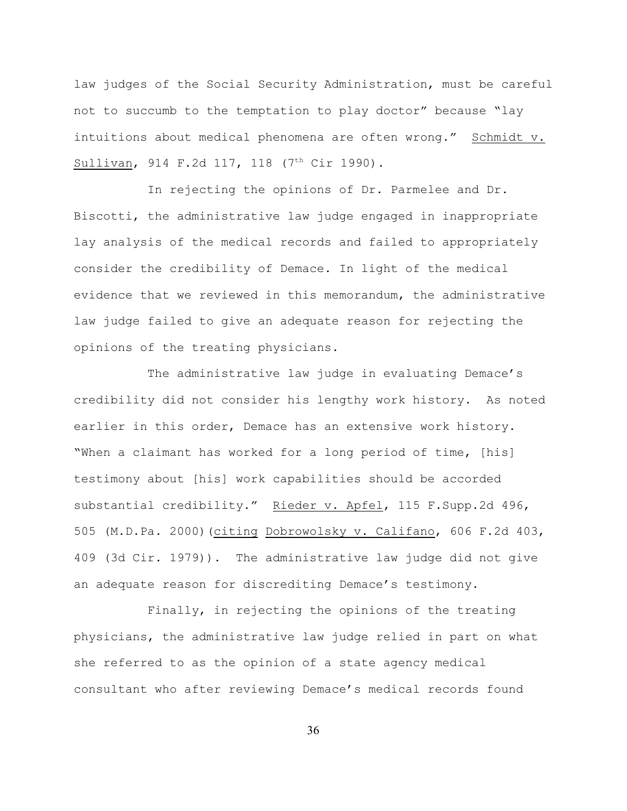law judges of the Social Security Administration, must be careful not to succumb to the temptation to play doctor" because "lay intuitions about medical phenomena are often wrong." Schmidt v. Sullivan, 914 F.2d 117, 118 (7<sup>th</sup> Cir 1990).

In rejecting the opinions of Dr. Parmelee and Dr. Biscotti, the administrative law judge engaged in inappropriate lay analysis of the medical records and failed to appropriately consider the credibility of Demace. In light of the medical evidence that we reviewed in this memorandum, the administrative law judge failed to give an adequate reason for rejecting the opinions of the treating physicians.

The administrative law judge in evaluating Demace's credibility did not consider his lengthy work history. As noted earlier in this order, Demace has an extensive work history. "When a claimant has worked for a long period of time, [his] testimony about [his] work capabilities should be accorded substantial credibility." Rieder v. Apfel, 115 F.Supp.2d 496, 505 (M.D.Pa. 2000)(citing Dobrowolsky v. Califano, 606 F.2d 403, 409 (3d Cir. 1979)). The administrative law judge did not give an adequate reason for discrediting Demace's testimony.

Finally, in rejecting the opinions of the treating physicians, the administrative law judge relied in part on what she referred to as the opinion of a state agency medical consultant who after reviewing Demace's medical records found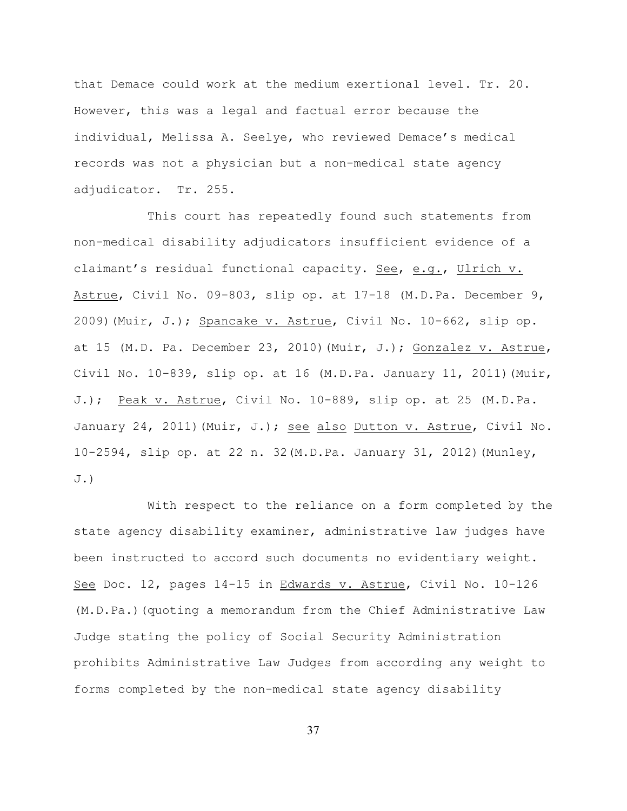that Demace could work at the medium exertional level. Tr. 20. However, this was a legal and factual error because the individual, Melissa A. Seelye, who reviewed Demace's medical records was not a physician but a non-medical state agency adjudicator. Tr. 255.

This court has repeatedly found such statements from non-medical disability adjudicators insufficient evidence of a claimant's residual functional capacity. See, e.g., Ulrich v. Astrue, Civil No. 09-803, slip op. at 17-18 (M.D.Pa. December 9, 2009)(Muir, J.); Spancake v. Astrue, Civil No. 10-662, slip op. at 15 (M.D. Pa. December 23, 2010)(Muir, J.); Gonzalez v. Astrue, Civil No. 10-839, slip op. at 16  $(M.D.Pa.$  January 11, 2011) (Muir, J.); Peak v. Astrue, Civil No. 10-889, slip op. at 25 (M.D.Pa. January 24, 2011) (Muir, J.); see also Dutton v. Astrue, Civil No. 10-2594, slip op. at 22 n. 32(M.D.Pa. January 31, 2012)(Munley, J.)

With respect to the reliance on a form completed by the state agency disability examiner, administrative law judges have been instructed to accord such documents no evidentiary weight. See Doc. 12, pages 14-15 in Edwards v. Astrue, Civil No. 10-126 (M.D.Pa.)(quoting a memorandum from the Chief Administrative Law Judge stating the policy of Social Security Administration prohibits Administrative Law Judges from according any weight to forms completed by the non-medical state agency disability